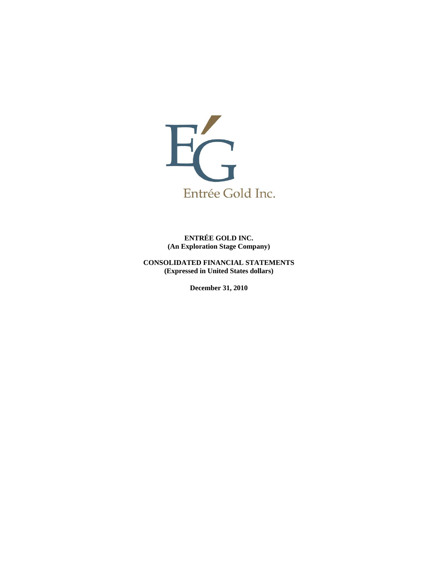

**ENTRÉE GOLD INC. (An Exploration Stage Company)** 

**CONSOLIDATED FINANCIAL STATEMENTS (Expressed in United States dollars)** 

**December 31, 2010**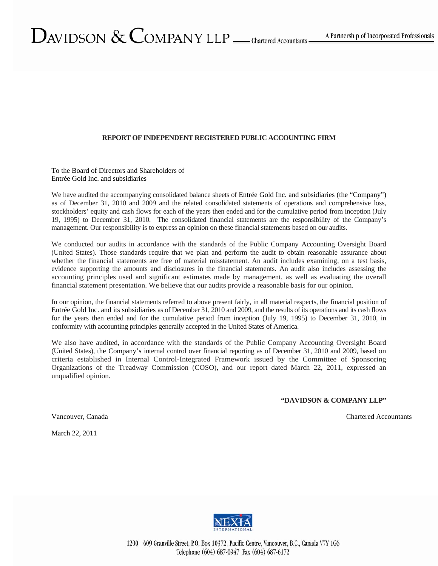# DAVIDSON  $&$  COMPANY LLP  $\_\_$ Chartered Accountants

### **REPORT OF INDEPENDENT REGISTERED PUBLIC ACCOUNTING FIRM**

To the Board of Directors and Shareholders of Entrée Gold Inc. and subsidiaries

We have audited the accompanying consolidated balance sheets of Entrée Gold Inc. and subsidiaries (the "Company") as of December 31, 2010 and 2009 and the related consolidated statements of operations and comprehensive loss, stockholders' equity and cash flows for each of the years then ended and for the cumulative period from inception (July 19, 1995) to December 31, 2010. The consolidated financial statements are the responsibility of the Company's management. Our responsibility is to express an opinion on these financial statements based on our audits.

We conducted our audits in accordance with the standards of the Public Company Accounting Oversight Board (United States). Those standards require that we plan and perform the audit to obtain reasonable assurance about whether the financial statements are free of material misstatement. An audit includes examining, on a test basis, evidence supporting the amounts and disclosures in the financial statements. An audit also includes assessing the accounting principles used and significant estimates made by management, as well as evaluating the overall financial statement presentation. We believe that our audits provide a reasonable basis for our opinion.

In our opinion, the financial statements referred to above present fairly, in all material respects, the financial position of Entrée Gold Inc. and its subsidiaries as of December 31, 2010 and 2009, and the results of its operations and its cash flows for the years then ended and for the cumulative period from inception (July 19, 1995) to December 31, 2010, in conformity with accounting principles generally accepted in the United States of America.

We also have audited, in accordance with the standards of the Public Company Accounting Oversight Board (United States), the Company's internal control over financial reporting as of December 31, 2010 and 2009, based on criteria established in Internal Control-Integrated Framework issued by the Committee of Sponsoring Organizations of the Treadway Commission (COSO), and our report dated March 22, 2011, expressed an unqualified opinion.

**"DAVIDSON & COMPANY LLP"** 

Vancouver, Canada Chartered Accountants Chartered Accountants

March 22, 2011

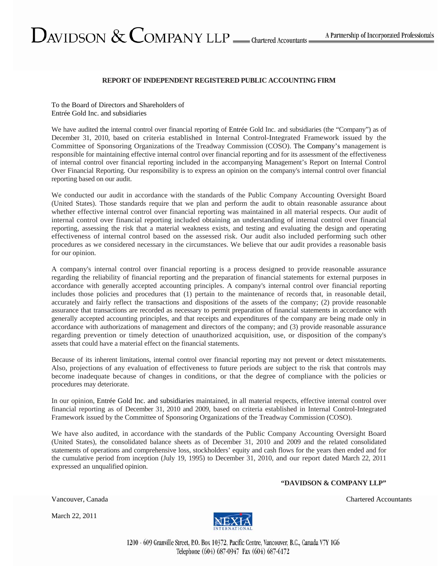DAVIDSON  $&$  COMPANY LLP  $\_\_$ Chartered Accountants

To the Board of Directors and Shareholders of Entrée Gold Inc. and subsidiaries

We have audited the internal control over financial reporting of Entrée Gold Inc. and subsidiaries (the "Company") as of December 31, 2010, based on criteria established in Internal Control-Integrated Framework issued by the Committee of Sponsoring Organizations of the Treadway Commission (COSO). The Company's management is responsible for maintaining effective internal control over financial reporting and for its assessment of the effectiveness of internal control over financial reporting included in the accompanying Management's Report on Internal Control Over Financial Reporting. Our responsibility is to express an opinion on the company's internal control over financial reporting based on our audit.

**REPORT OF INDEPENDENT REGISTERED PUBLIC ACCOUNTING FIRM** 

We conducted our audit in accordance with the standards of the Public Company Accounting Oversight Board (United States). Those standards require that we plan and perform the audit to obtain reasonable assurance about whether effective internal control over financial reporting was maintained in all material respects. Our audit of internal control over financial reporting included obtaining an understanding of internal control over financial reporting, assessing the risk that a material weakness exists, and testing and evaluating the design and operating effectiveness of internal control based on the assessed risk. Our audit also included performing such other procedures as we considered necessary in the circumstances. We believe that our audit provides a reasonable basis for our opinion.

A company's internal control over financial reporting is a process designed to provide reasonable assurance regarding the reliability of financial reporting and the preparation of financial statements for external purposes in accordance with generally accepted accounting principles. A company's internal control over financial reporting includes those policies and procedures that (1) pertain to the maintenance of records that, in reasonable detail, accurately and fairly reflect the transactions and dispositions of the assets of the company; (2) provide reasonable assurance that transactions are recorded as necessary to permit preparation of financial statements in accordance with generally accepted accounting principles, and that receipts and expenditures of the company are being made only in accordance with authorizations of management and directors of the company; and (3) provide reasonable assurance regarding prevention or timely detection of unauthorized acquisition, use, or disposition of the company's assets that could have a material effect on the financial statements.

Because of its inherent limitations, internal control over financial reporting may not prevent or detect misstatements. Also, projections of any evaluation of effectiveness to future periods are subject to the risk that controls may become inadequate because of changes in conditions, or that the degree of compliance with the policies or procedures may deteriorate.

In our opinion, Entrée Gold Inc. and subsidiaries maintained, in all material respects, effective internal control over financial reporting as of December 31, 2010 and 2009, based on criteria established in Internal Control-Integrated Framework issued by the Committee of Sponsoring Organizations of the Treadway Commission (COSO).

We have also audited, in accordance with the standards of the Public Company Accounting Oversight Board (United States), the consolidated balance sheets as of December 31, 2010 and 2009 and the related consolidated statements of operations and comprehensive loss, stockholders' equity and cash flows for the years then ended and for the cumulative period from inception (July 19, 1995) to December 31, 2010, and our report dated March 22, 2011 expressed an unqualified opinion.

#### **"DAVIDSON & COMPANY LLP"**

March 22, 2011



Vancouver, Canada Chartered Accountants Chartered Accountants

1200 - 609 Granville Street, P.O. Box 10372, Pacific Centre, Vancouver, B.C., Canada V7Y 1G6 Telephone (604) 687-0947 Fax (604) 687-6172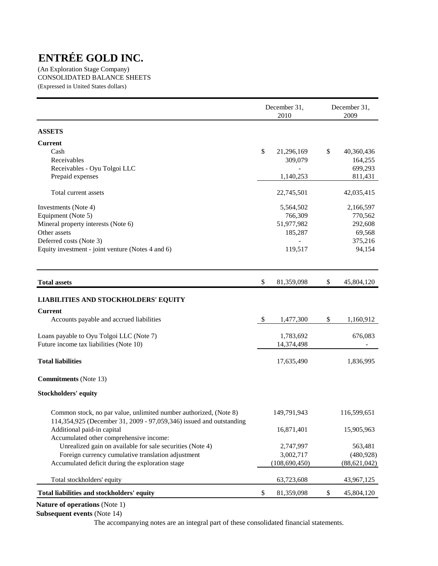(An Exploration Stage Company) CONSOLIDATED BALANCE SHEETS (Expressed in United States dollars)

| <b>ASSETS</b><br><b>Current</b><br>\$<br>\$<br>Cash<br>21,296,169<br>40,360,436<br>Receivables<br>309,079<br>164,255<br>Receivables - Oyu Tolgoi LLC<br>699,293<br>Prepaid expenses<br>1,140,253<br>811,431<br>Total current assets<br>42,035,415<br>22,745,501<br>2,166,597<br>Investments (Note 4)<br>5,564,502<br>Equipment (Note 5)<br>766,309<br>770,562<br>Mineral property interests (Note 6)<br>51,977,982<br>292,608<br>Other assets<br>185,287<br>69,568<br>Deferred costs (Note 3)<br>375,216<br>94,154<br>Equity investment - joint venture (Notes 4 and 6)<br>119,517<br>\$<br>81,359,098<br>\$<br>45,804,120<br><b>Total assets</b><br><b>LIABILITIES AND STOCKHOLDERS' EQUITY</b><br><b>Current</b><br>Accounts payable and accrued liabilities<br>\$<br>\$<br>1,477,300<br>1,160,912<br>Loans payable to Oyu Tolgoi LLC (Note 7)<br>1,783,692<br>676,083<br>Future income tax liabilities (Note 10)<br>14,374,498<br><b>Total liabilities</b><br>17,635,490<br>1,836,995<br><b>Commitments</b> (Note 13)<br><b>Stockholders' equity</b><br>Common stock, no par value, unlimited number authorized, (Note 8)<br>149,791,943<br>116,599,651<br>114,354,925 (December 31, 2009 - 97,059,346) issued and outstanding<br>Additional paid-in capital<br>16,871,401<br>15,905,963<br>Accumulated other comprehensive income:<br>Unrealized gain on available for sale securities (Note 4)<br>2,747,997<br>563,481<br>Foreign currency cumulative translation adjustment<br>3,002,717<br>(480, 928)<br>Accumulated deficit during the exploration stage<br>(108, 690, 450)<br>(88, 621, 042)<br>Total stockholders' equity<br>63,723,608<br>43,967,125<br>Total liabilities and stockholders' equity<br>\$<br>\$<br>81,359,098<br>45,804,120 |  | December 31,<br>2010 | December 31,<br>2009 |
|-------------------------------------------------------------------------------------------------------------------------------------------------------------------------------------------------------------------------------------------------------------------------------------------------------------------------------------------------------------------------------------------------------------------------------------------------------------------------------------------------------------------------------------------------------------------------------------------------------------------------------------------------------------------------------------------------------------------------------------------------------------------------------------------------------------------------------------------------------------------------------------------------------------------------------------------------------------------------------------------------------------------------------------------------------------------------------------------------------------------------------------------------------------------------------------------------------------------------------------------------------------------------------------------------------------------------------------------------------------------------------------------------------------------------------------------------------------------------------------------------------------------------------------------------------------------------------------------------------------------------------------------------------------------------------------------------------------------------------------------------------|--|----------------------|----------------------|
|                                                                                                                                                                                                                                                                                                                                                                                                                                                                                                                                                                                                                                                                                                                                                                                                                                                                                                                                                                                                                                                                                                                                                                                                                                                                                                                                                                                                                                                                                                                                                                                                                                                                                                                                                       |  |                      |                      |
|                                                                                                                                                                                                                                                                                                                                                                                                                                                                                                                                                                                                                                                                                                                                                                                                                                                                                                                                                                                                                                                                                                                                                                                                                                                                                                                                                                                                                                                                                                                                                                                                                                                                                                                                                       |  |                      |                      |
|                                                                                                                                                                                                                                                                                                                                                                                                                                                                                                                                                                                                                                                                                                                                                                                                                                                                                                                                                                                                                                                                                                                                                                                                                                                                                                                                                                                                                                                                                                                                                                                                                                                                                                                                                       |  |                      |                      |
|                                                                                                                                                                                                                                                                                                                                                                                                                                                                                                                                                                                                                                                                                                                                                                                                                                                                                                                                                                                                                                                                                                                                                                                                                                                                                                                                                                                                                                                                                                                                                                                                                                                                                                                                                       |  |                      |                      |
|                                                                                                                                                                                                                                                                                                                                                                                                                                                                                                                                                                                                                                                                                                                                                                                                                                                                                                                                                                                                                                                                                                                                                                                                                                                                                                                                                                                                                                                                                                                                                                                                                                                                                                                                                       |  |                      |                      |
|                                                                                                                                                                                                                                                                                                                                                                                                                                                                                                                                                                                                                                                                                                                                                                                                                                                                                                                                                                                                                                                                                                                                                                                                                                                                                                                                                                                                                                                                                                                                                                                                                                                                                                                                                       |  |                      |                      |
|                                                                                                                                                                                                                                                                                                                                                                                                                                                                                                                                                                                                                                                                                                                                                                                                                                                                                                                                                                                                                                                                                                                                                                                                                                                                                                                                                                                                                                                                                                                                                                                                                                                                                                                                                       |  |                      |                      |
|                                                                                                                                                                                                                                                                                                                                                                                                                                                                                                                                                                                                                                                                                                                                                                                                                                                                                                                                                                                                                                                                                                                                                                                                                                                                                                                                                                                                                                                                                                                                                                                                                                                                                                                                                       |  |                      |                      |
|                                                                                                                                                                                                                                                                                                                                                                                                                                                                                                                                                                                                                                                                                                                                                                                                                                                                                                                                                                                                                                                                                                                                                                                                                                                                                                                                                                                                                                                                                                                                                                                                                                                                                                                                                       |  |                      |                      |
|                                                                                                                                                                                                                                                                                                                                                                                                                                                                                                                                                                                                                                                                                                                                                                                                                                                                                                                                                                                                                                                                                                                                                                                                                                                                                                                                                                                                                                                                                                                                                                                                                                                                                                                                                       |  |                      |                      |
|                                                                                                                                                                                                                                                                                                                                                                                                                                                                                                                                                                                                                                                                                                                                                                                                                                                                                                                                                                                                                                                                                                                                                                                                                                                                                                                                                                                                                                                                                                                                                                                                                                                                                                                                                       |  |                      |                      |
|                                                                                                                                                                                                                                                                                                                                                                                                                                                                                                                                                                                                                                                                                                                                                                                                                                                                                                                                                                                                                                                                                                                                                                                                                                                                                                                                                                                                                                                                                                                                                                                                                                                                                                                                                       |  |                      |                      |
|                                                                                                                                                                                                                                                                                                                                                                                                                                                                                                                                                                                                                                                                                                                                                                                                                                                                                                                                                                                                                                                                                                                                                                                                                                                                                                                                                                                                                                                                                                                                                                                                                                                                                                                                                       |  |                      |                      |
|                                                                                                                                                                                                                                                                                                                                                                                                                                                                                                                                                                                                                                                                                                                                                                                                                                                                                                                                                                                                                                                                                                                                                                                                                                                                                                                                                                                                                                                                                                                                                                                                                                                                                                                                                       |  |                      |                      |
|                                                                                                                                                                                                                                                                                                                                                                                                                                                                                                                                                                                                                                                                                                                                                                                                                                                                                                                                                                                                                                                                                                                                                                                                                                                                                                                                                                                                                                                                                                                                                                                                                                                                                                                                                       |  |                      |                      |
|                                                                                                                                                                                                                                                                                                                                                                                                                                                                                                                                                                                                                                                                                                                                                                                                                                                                                                                                                                                                                                                                                                                                                                                                                                                                                                                                                                                                                                                                                                                                                                                                                                                                                                                                                       |  |                      |                      |
|                                                                                                                                                                                                                                                                                                                                                                                                                                                                                                                                                                                                                                                                                                                                                                                                                                                                                                                                                                                                                                                                                                                                                                                                                                                                                                                                                                                                                                                                                                                                                                                                                                                                                                                                                       |  |                      |                      |
|                                                                                                                                                                                                                                                                                                                                                                                                                                                                                                                                                                                                                                                                                                                                                                                                                                                                                                                                                                                                                                                                                                                                                                                                                                                                                                                                                                                                                                                                                                                                                                                                                                                                                                                                                       |  |                      |                      |
|                                                                                                                                                                                                                                                                                                                                                                                                                                                                                                                                                                                                                                                                                                                                                                                                                                                                                                                                                                                                                                                                                                                                                                                                                                                                                                                                                                                                                                                                                                                                                                                                                                                                                                                                                       |  |                      |                      |
|                                                                                                                                                                                                                                                                                                                                                                                                                                                                                                                                                                                                                                                                                                                                                                                                                                                                                                                                                                                                                                                                                                                                                                                                                                                                                                                                                                                                                                                                                                                                                                                                                                                                                                                                                       |  |                      |                      |
|                                                                                                                                                                                                                                                                                                                                                                                                                                                                                                                                                                                                                                                                                                                                                                                                                                                                                                                                                                                                                                                                                                                                                                                                                                                                                                                                                                                                                                                                                                                                                                                                                                                                                                                                                       |  |                      |                      |
|                                                                                                                                                                                                                                                                                                                                                                                                                                                                                                                                                                                                                                                                                                                                                                                                                                                                                                                                                                                                                                                                                                                                                                                                                                                                                                                                                                                                                                                                                                                                                                                                                                                                                                                                                       |  |                      |                      |
|                                                                                                                                                                                                                                                                                                                                                                                                                                                                                                                                                                                                                                                                                                                                                                                                                                                                                                                                                                                                                                                                                                                                                                                                                                                                                                                                                                                                                                                                                                                                                                                                                                                                                                                                                       |  |                      |                      |
|                                                                                                                                                                                                                                                                                                                                                                                                                                                                                                                                                                                                                                                                                                                                                                                                                                                                                                                                                                                                                                                                                                                                                                                                                                                                                                                                                                                                                                                                                                                                                                                                                                                                                                                                                       |  |                      |                      |
|                                                                                                                                                                                                                                                                                                                                                                                                                                                                                                                                                                                                                                                                                                                                                                                                                                                                                                                                                                                                                                                                                                                                                                                                                                                                                                                                                                                                                                                                                                                                                                                                                                                                                                                                                       |  |                      |                      |
|                                                                                                                                                                                                                                                                                                                                                                                                                                                                                                                                                                                                                                                                                                                                                                                                                                                                                                                                                                                                                                                                                                                                                                                                                                                                                                                                                                                                                                                                                                                                                                                                                                                                                                                                                       |  |                      |                      |
|                                                                                                                                                                                                                                                                                                                                                                                                                                                                                                                                                                                                                                                                                                                                                                                                                                                                                                                                                                                                                                                                                                                                                                                                                                                                                                                                                                                                                                                                                                                                                                                                                                                                                                                                                       |  |                      |                      |
|                                                                                                                                                                                                                                                                                                                                                                                                                                                                                                                                                                                                                                                                                                                                                                                                                                                                                                                                                                                                                                                                                                                                                                                                                                                                                                                                                                                                                                                                                                                                                                                                                                                                                                                                                       |  |                      |                      |
|                                                                                                                                                                                                                                                                                                                                                                                                                                                                                                                                                                                                                                                                                                                                                                                                                                                                                                                                                                                                                                                                                                                                                                                                                                                                                                                                                                                                                                                                                                                                                                                                                                                                                                                                                       |  |                      |                      |
|                                                                                                                                                                                                                                                                                                                                                                                                                                                                                                                                                                                                                                                                                                                                                                                                                                                                                                                                                                                                                                                                                                                                                                                                                                                                                                                                                                                                                                                                                                                                                                                                                                                                                                                                                       |  |                      |                      |
|                                                                                                                                                                                                                                                                                                                                                                                                                                                                                                                                                                                                                                                                                                                                                                                                                                                                                                                                                                                                                                                                                                                                                                                                                                                                                                                                                                                                                                                                                                                                                                                                                                                                                                                                                       |  |                      |                      |

**Nature of operations** (Note 1)

**Subsequent events** (Note 14)

The accompanying notes are an integral part of these consolidated financial statements.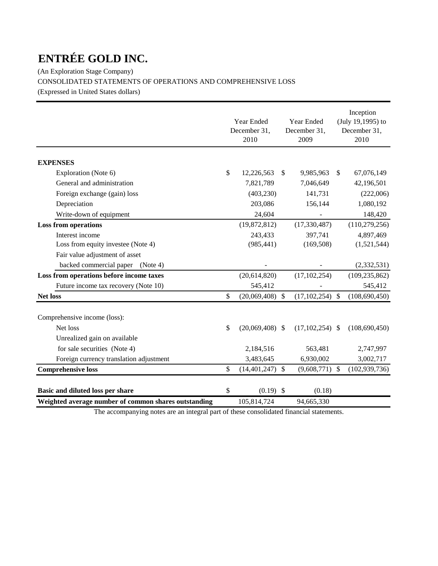(An Exploration Stage Company) CONSOLIDATED STATEMENTS OF OPERATIONS AND COMPREHENSIVE LOSS

(Expressed in United States dollars)

|                                                      | Year Ended<br>December 31,<br>2010 |               | Year Ended<br>December 31,<br>2009 |               | Inception<br>(July 19,1995) to<br>December 31,<br>2010 |
|------------------------------------------------------|------------------------------------|---------------|------------------------------------|---------------|--------------------------------------------------------|
| <b>EXPENSES</b>                                      |                                    |               |                                    |               |                                                        |
| Exploration (Note 6)                                 | \$<br>12,226,563                   | \$            | 9,985,963                          | $\mathbb{S}$  | 67,076,149                                             |
| General and administration                           | 7,821,789                          |               | 7,046,649                          |               | 42,196,501                                             |
| Foreign exchange (gain) loss                         | (403, 230)                         |               | 141,731                            |               | (222,006)                                              |
| Depreciation                                         | 203,086                            |               | 156,144                            |               | 1,080,192                                              |
| Write-down of equipment                              | 24,604                             |               |                                    |               | 148,420                                                |
| <b>Loss from operations</b>                          | (19,872,812)                       |               | (17, 330, 487)                     |               | (110, 279, 256)                                        |
| Interest income                                      | 243,433                            |               | 397,741                            |               | 4,897,469                                              |
| Loss from equity investee (Note 4)                   | (985, 441)                         |               | (169, 508)                         |               | (1,521,544)                                            |
| Fair value adjustment of asset                       |                                    |               |                                    |               |                                                        |
| backed commercial paper<br>(Note 4)                  |                                    |               |                                    |               | (2, 332, 531)                                          |
| Loss from operations before income taxes             | (20,614,820)                       |               | (17, 102, 254)                     |               | (109, 235, 862)                                        |
| Future income tax recovery (Note 10)                 | 545,412                            |               |                                    |               | 545,412                                                |
| <b>Net loss</b>                                      | \$<br>(20,069,408)                 | $\mathcal{S}$ | (17, 102, 254)                     | $\mathcal{S}$ | (108, 690, 450)                                        |
| Comprehensive income (loss):                         |                                    |               |                                    |               |                                                        |
| Net loss                                             | \$<br>$(20,069,408)$ \$            |               | $(17, 102, 254)$ \$                |               | (108, 690, 450)                                        |
| Unrealized gain on available                         |                                    |               |                                    |               |                                                        |
| for sale securities (Note 4)                         | 2,184,516                          |               | 563,481                            |               | 2,747,997                                              |
| Foreign currency translation adjustment              | 3,483,645                          |               | 6,930,002                          |               | 3,002,717                                              |
| <b>Comprehensive loss</b>                            | \$<br>$(14,401,247)$ \$            |               | $(9,608,771)$ \$                   |               | (102, 939, 736)                                        |
| Basic and diluted loss per share                     | \$<br>$(0.19)$ \$                  |               | (0.18)                             |               |                                                        |
| Weighted average number of common shares outstanding | 105,814,724                        |               | 94,665,330                         |               |                                                        |

The accompanying notes are an integral part of these consolidated financial statements.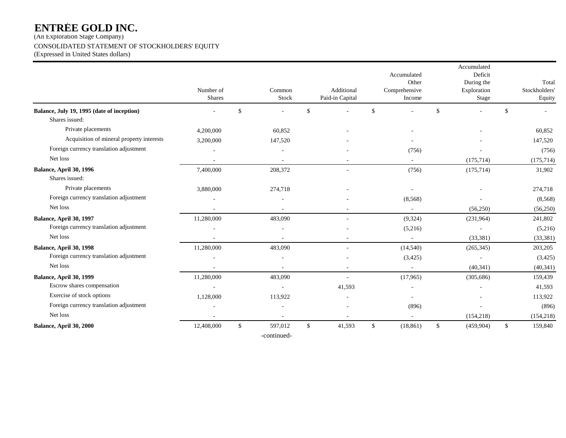(An Exploration Stage Company)

### CONSOLIDATED STATEMENT OF STOCKHOLDERS' EQUITY

(Expressed in United States dollars)

|                                            | Number of<br><b>Shares</b> |              | Common<br>Stock |              | Additional<br>Paid-in Capital |              | Accumulated<br>Other<br>Comprehensive<br>Income |               | Accumulated<br>Deficit<br>During the<br>Exploration<br>Stage |             | Total<br>Stockholders'<br>Equity |
|--------------------------------------------|----------------------------|--------------|-----------------|--------------|-------------------------------|--------------|-------------------------------------------------|---------------|--------------------------------------------------------------|-------------|----------------------------------|
| Balance, July 19, 1995 (date of inception) |                            | \$           |                 | $\mathbb{S}$ |                               | $\mathbb{S}$ |                                                 | <sup>\$</sup> |                                                              | $\mathbf S$ |                                  |
| Shares issued:                             |                            |              |                 |              |                               |              |                                                 |               |                                                              |             |                                  |
| Private placements                         | 4,200,000                  |              | 60,852          |              |                               |              |                                                 |               |                                                              |             | 60,852                           |
| Acquisition of mineral property interests  | 3,200,000                  |              | 147,520         |              |                               |              |                                                 |               |                                                              |             | 147,520                          |
| Foreign currency translation adjustment    |                            |              |                 |              |                               |              | (756)                                           |               |                                                              |             | (756)                            |
| Net loss                                   | $\sim$                     |              | ÷.              |              |                               |              | $\sim$                                          |               | (175, 714)                                                   |             | (175, 714)                       |
| Balance, April 30, 1996<br>Shares issued:  | 7,400,000                  |              | 208,372         |              |                               |              | (756)                                           |               | (175, 714)                                                   |             | 31,902                           |
| Private placements                         | 3,880,000                  |              | 274,718         |              |                               |              |                                                 |               |                                                              |             | 274,718                          |
| Foreign currency translation adjustment    |                            |              |                 |              |                               |              | (8, 568)                                        |               |                                                              |             | (8, 568)                         |
| Net loss                                   |                            |              |                 |              |                               |              |                                                 |               | (56,250)                                                     |             | (56,250)                         |
| Balance, April 30, 1997                    | 11,280,000                 |              | 483,090         |              |                               |              | (9, 324)                                        |               | (231,964)                                                    |             | 241,802                          |
| Foreign currency translation adjustment    |                            |              |                 |              |                               |              | (5,216)                                         |               |                                                              |             | (5,216)                          |
| Net loss                                   |                            |              |                 |              |                               |              | $\sim$                                          |               | (33, 381)                                                    |             | (33, 381)                        |
| Balance, April 30, 1998                    | 11,280,000                 |              | 483,090         |              |                               |              | (14,540)                                        |               | (265, 345)                                                   |             | 203,205                          |
| Foreign currency translation adjustment    |                            |              |                 |              |                               |              | (3,425)                                         |               |                                                              |             | (3, 425)                         |
| Net loss                                   |                            |              |                 |              |                               |              | $\sim$                                          |               | (40, 341)                                                    |             | (40, 341)                        |
| Balance, April 30, 1999                    | 11,280,000                 |              | 483,090         |              | $\overline{a}$                |              | (17,965)                                        |               | (305, 686)                                                   |             | 159,439                          |
| Escrow shares compensation                 | $\sim$                     |              |                 |              | 41,593                        |              |                                                 |               |                                                              |             | 41,593                           |
| Exercise of stock options                  | 1,128,000                  |              | 113,922         |              |                               |              | $\overline{\phantom{a}}$                        |               |                                                              |             | 113,922                          |
| Foreign currency translation adjustment    |                            |              |                 |              |                               |              | (896)                                           |               |                                                              |             | (896)                            |
| Net loss                                   |                            |              |                 |              |                               |              |                                                 |               | (154, 218)                                                   |             | (154, 218)                       |
| Balance, April 30, 2000                    | 12,408,000                 | $\mathbb{S}$ | 597,012         | \$           | 41,593                        | \$           | (18, 861)                                       | \$            | (459,904)                                                    | \$          | 159,840                          |
|                                            |                            |              | -continued-     |              |                               |              |                                                 |               |                                                              |             |                                  |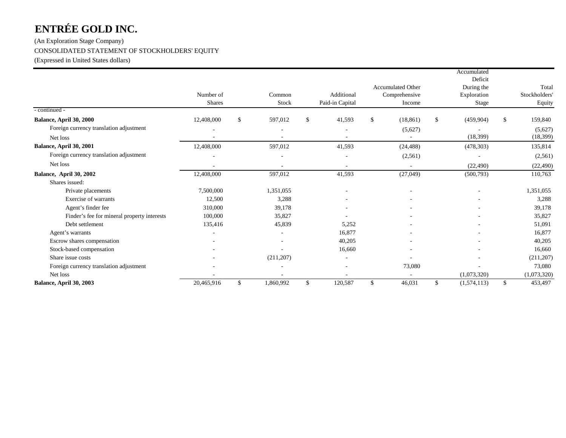(An Exploration Stage Company) CONSOLIDATED STATEMENT OF STOCKHOLDERS' EQUITY

(Expressed in United States dollars)

|                                             |            |                 |              |                          |               |                          | Accumulated               |               |
|---------------------------------------------|------------|-----------------|--------------|--------------------------|---------------|--------------------------|---------------------------|---------------|
|                                             |            |                 |              |                          |               | <b>Accumulated Other</b> | Deficit                   | Total         |
|                                             | Number of  | Common          |              | Additional               |               | Comprehensive            | During the<br>Exploration | Stockholders  |
|                                             | Shares     | Stock           |              | Paid-in Capital          |               | Income                   | Stage                     | Equity        |
| - continued -                               |            |                 |              |                          |               |                          |                           |               |
| Balance, April 30, 2000                     | 12,408,000 | \$<br>597,012   | $\mathbb{S}$ | 41,593                   | <sup>\$</sup> | (18, 861)                | \$<br>(459,904)           | \$<br>159,840 |
| Foreign currency translation adjustment     |            |                 |              |                          |               | (5,627)                  |                           | (5,627)       |
| Net loss                                    |            |                 |              |                          |               |                          | (18, 399)                 | (18, 399)     |
| Balance, April 30, 2001                     | 12,408,000 | 597,012         |              | 41,593                   |               | (24, 488)                | (478, 303)                | 135,814       |
| Foreign currency translation adjustment     |            |                 |              | $\overline{\phantom{a}}$ |               | (2,561)                  |                           | (2, 561)      |
| Net loss                                    |            |                 |              |                          |               |                          | (22, 490)                 | (22, 490)     |
| Balance, April 30, 2002                     | 12,408,000 | 597,012         |              | 41,593                   |               | (27, 049)                | (500, 793)                | 110,763       |
| Shares issued:                              |            |                 |              |                          |               |                          |                           |               |
| Private placements                          | 7,500,000  | 1,351,055       |              |                          |               |                          |                           | 1,351,055     |
| Exercise of warrants                        | 12,500     | 3,288           |              |                          |               |                          |                           | 3,288         |
| Agent's finder fee                          | 310,000    | 39,178          |              |                          |               |                          |                           | 39,178        |
| Finder's fee for mineral property interests | 100,000    | 35,827          |              |                          |               |                          |                           | 35,827        |
| Debt settlement                             | 135,416    | 45,839          |              | 5,252                    |               |                          |                           | 51,091        |
| Agent's warrants                            |            |                 |              | 16,877                   |               |                          |                           | 16,877        |
| Escrow shares compensation                  |            |                 |              | 40,205                   |               |                          |                           | 40,205        |
| Stock-based compensation                    |            |                 |              | 16,660                   |               |                          |                           | 16,660        |
| Share issue costs                           |            | (211, 207)      |              |                          |               |                          |                           | (211, 207)    |
| Foreign currency translation adjustment     |            |                 |              |                          |               | 73,080                   |                           | 73,080        |
| Net loss                                    |            |                 |              |                          |               |                          | (1,073,320)               | (1,073,320)   |
| Balance, April 30, 2003                     | 20,465,916 | \$<br>1,860,992 | \$           | 120,587                  | \$            | 46,031                   | \$<br>(1,574,113)         | \$<br>453,497 |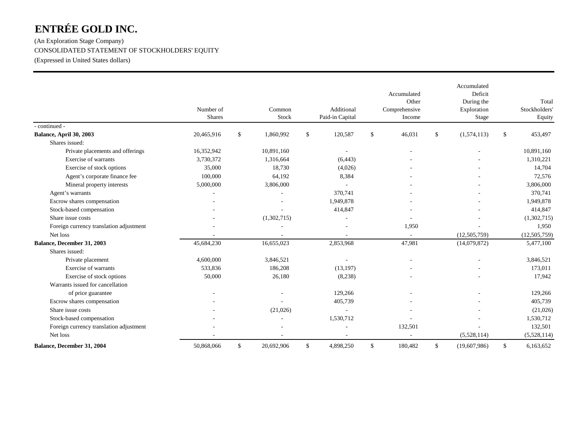(An Exploration Stage Company) CONSOLIDATED STATEMENT OF STOCKHOLDERS' EQUITY (Expressed in United States dollars)

|                                         | Number of<br><b>Shares</b> |              | Common<br>Stock | Additional<br>Paid-in Capital |              | Accumulated<br>Other<br>Comprehensive<br>Income | Accumulated<br>Deficit<br>During the<br>Exploration<br>Stage |              | Total<br>Stockholders'<br>Equity |
|-----------------------------------------|----------------------------|--------------|-----------------|-------------------------------|--------------|-------------------------------------------------|--------------------------------------------------------------|--------------|----------------------------------|
| - continued -                           |                            |              |                 |                               |              |                                                 |                                                              |              |                                  |
| Balance, April 30, 2003                 | 20,465,916                 | $\mathbb{S}$ | 1,860,992       | \$<br>120,587                 | $\mathbb{S}$ | 46,031                                          | \$<br>(1,574,113)                                            | $\mathbb{S}$ | 453,497                          |
| Shares issued:                          |                            |              |                 |                               |              |                                                 |                                                              |              |                                  |
| Private placements and offerings        | 16,352,942                 |              | 10,891,160      |                               |              |                                                 |                                                              |              | 10,891,160                       |
| Exercise of warrants                    | 3,730,372                  |              | 1,316,664       | (6, 443)                      |              |                                                 |                                                              |              | 1,310,221                        |
| Exercise of stock options               | 35,000                     |              | 18,730          | (4,026)                       |              |                                                 |                                                              |              | 14,704                           |
| Agent's corporate finance fee           | 100,000                    |              | 64,192          | 8,384                         |              |                                                 |                                                              |              | 72,576                           |
| Mineral property interests              | 5,000,000                  |              | 3,806,000       |                               |              |                                                 |                                                              |              | 3,806,000                        |
| Agent's warrants                        |                            |              |                 | 370,741                       |              |                                                 |                                                              |              | 370,741                          |
| Escrow shares compensation              |                            |              |                 | 1,949,878                     |              |                                                 |                                                              |              | 1,949,878                        |
| Stock-based compensation                |                            |              |                 | 414,847                       |              |                                                 |                                                              |              | 414,847                          |
| Share issue costs                       |                            |              | (1,302,715)     |                               |              |                                                 |                                                              |              | (1,302,715)                      |
| Foreign currency translation adjustment |                            |              |                 |                               |              | 1,950                                           |                                                              |              | 1,950                            |
| Net loss                                |                            |              |                 |                               |              |                                                 | (12,505,759)                                                 |              | (12,505,759)                     |
| Balance, December 31, 2003              | 45,684,230                 |              | 16,655,023      | 2,853,968                     |              | 47,981                                          | (14,079,872)                                                 |              | 5,477,100                        |
| Shares issued:                          |                            |              |                 |                               |              |                                                 |                                                              |              |                                  |
| Private placement                       | 4,600,000                  |              | 3,846,521       | $\overline{\phantom{a}}$      |              |                                                 |                                                              |              | 3,846,521                        |
| Exercise of warrants                    | 533,836                    |              | 186,208         | (13, 197)                     |              |                                                 |                                                              |              | 173,011                          |
| Exercise of stock options               | 50,000                     |              | 26,180          | (8,238)                       |              |                                                 |                                                              |              | 17,942                           |
| Warrants issued for cancellation        |                            |              |                 |                               |              |                                                 |                                                              |              |                                  |
| of price guarantee                      |                            |              |                 | 129,266                       |              |                                                 |                                                              |              | 129,266                          |
| Escrow shares compensation              |                            |              |                 | 405,739                       |              |                                                 |                                                              |              | 405,739                          |
| Share issue costs                       |                            |              | (21,026)        | $\overline{\phantom{a}}$      |              |                                                 |                                                              |              | (21,026)                         |
| Stock-based compensation                |                            |              |                 | 1,530,712                     |              |                                                 |                                                              |              | 1,530,712                        |
| Foreign currency translation adjustment |                            |              |                 |                               |              | 132,501                                         |                                                              |              | 132,501                          |
| Net loss                                |                            |              |                 |                               |              |                                                 | (5,528,114)                                                  |              | (5,528,114)                      |
| Balance, December 31, 2004              | 50,868,066                 | $\mathbb{S}$ | 20,692,906      | \$<br>4,898,250               | $\mathbb{S}$ | 180,482                                         | \$<br>(19,607,986)                                           | $\mathbb{S}$ | 6,163,652                        |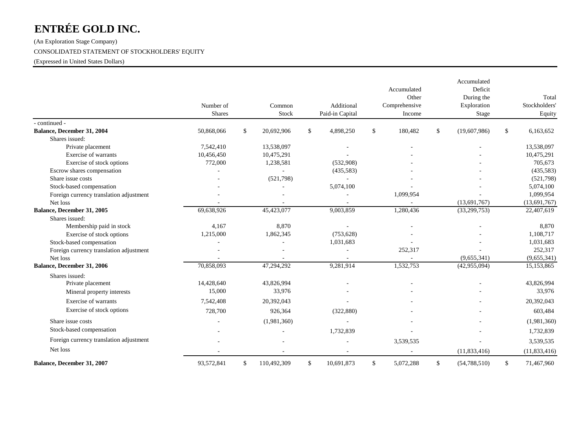(An Exploration Stage Company) CONSOLIDATED STATEMENT OF STOCKHOLDERS' EQUITY

(Expressed in United States Dollars)

|                                         | Number of<br><b>Shares</b> | Common<br>Stock   | Additional<br>Paid-in Capital |              | Accumulated<br>Other<br>Comprehensive<br>Income |              | Accumulated<br>Deficit<br>During the<br>Exploration<br>Stage | Total<br>Stockholders<br>Equity |
|-----------------------------------------|----------------------------|-------------------|-------------------------------|--------------|-------------------------------------------------|--------------|--------------------------------------------------------------|---------------------------------|
| - continued -                           |                            |                   |                               |              |                                                 |              |                                                              |                                 |
| Balance, December 31, 2004              | 50,868,066                 | \$<br>20,692,906  | \$<br>4,898,250               | \$           | 180,482                                         | $\mathbb{S}$ | (19,607,986)                                                 | \$<br>6,163,652                 |
| Shares issued:                          |                            |                   |                               |              |                                                 |              |                                                              |                                 |
| Private placement                       | 7,542,410                  | 13,538,097        | $\overline{\phantom{a}}$      |              |                                                 |              |                                                              | 13,538,097                      |
| Exercise of warrants                    | 10,456,450                 | 10,475,291        |                               |              |                                                 |              |                                                              | 10,475,291                      |
| Exercise of stock options               | 772,000                    | 1,238,581         | (532,908)                     |              |                                                 |              |                                                              | 705,673                         |
| Escrow shares compensation              |                            |                   | (435,583)                     |              |                                                 |              |                                                              | (435,583)                       |
| Share issue costs                       |                            | (521,798)         | ÷.                            |              |                                                 |              |                                                              | (521,798)                       |
| Stock-based compensation                |                            |                   | 5,074,100                     |              |                                                 |              |                                                              | 5,074,100                       |
| Foreign currency translation adjustment |                            |                   |                               |              | 1,099,954                                       |              |                                                              | 1,099,954                       |
| Net loss                                |                            |                   |                               |              |                                                 |              | (13,691,767)                                                 | (13,691,767)                    |
| Balance, December 31, 2005              | 69,638,926                 | 45,423,077        | 9,003,859                     |              | 1,280,436                                       |              | (33,299,753)                                                 | 22,407,619                      |
| Shares issued:                          |                            |                   |                               |              |                                                 |              |                                                              |                                 |
| Membership paid in stock                | 4,167                      | 8,870             | $\overline{a}$                |              |                                                 |              |                                                              | 8,870                           |
| Exercise of stock options               | 1,215,000                  | 1,862,345         | (753, 628)                    |              |                                                 |              |                                                              | 1,108,717                       |
| Stock-based compensation                |                            |                   | 1,031,683                     |              |                                                 |              |                                                              | 1,031,683                       |
| Foreign currency translation adjustment |                            |                   |                               |              | 252,317                                         |              |                                                              | 252,317                         |
| Net loss                                |                            |                   |                               |              |                                                 |              | (9,655,341)                                                  | (9,655,341)                     |
| Balance, December 31, 2006              | 70,858,093                 | 47,294,292        | 9,281,914                     |              | 1,532,753                                       |              | (42,955,094)                                                 | 15,153,865                      |
| Shares issued:                          |                            |                   |                               |              |                                                 |              |                                                              |                                 |
| Private placement                       | 14,428,640                 | 43,826,994        |                               |              |                                                 |              |                                                              | 43,826,994                      |
| Mineral property interests              | 15,000                     | 33,976            |                               |              |                                                 |              |                                                              | 33,976                          |
| Exercise of warrants                    | 7,542,408                  | 20,392,043        |                               |              |                                                 |              |                                                              | 20,392,043                      |
| Exercise of stock options               | 728,700                    | 926,364           | (322, 880)                    |              |                                                 |              |                                                              | 603,484                         |
| Share issue costs                       |                            | (1,981,360)       |                               |              |                                                 |              |                                                              | (1,981,360)                     |
| Stock-based compensation                |                            |                   |                               |              |                                                 |              |                                                              |                                 |
|                                         |                            |                   | 1,732,839                     |              |                                                 |              |                                                              | 1,732,839                       |
| Foreign currency translation adjustment |                            |                   |                               |              | 3,539,535                                       |              |                                                              | 3,539,535                       |
| Net loss                                |                            |                   |                               |              |                                                 |              | (11,833,416)                                                 | (11, 833, 416)                  |
| Balance, December 31, 2007              | 93,572,841                 | \$<br>110,492,309 | \$<br>10,691,873              | $\mathbb{S}$ | 5,072,288                                       | $\mathbb{S}$ | (54, 788, 510)                                               | \$<br>71,467,960                |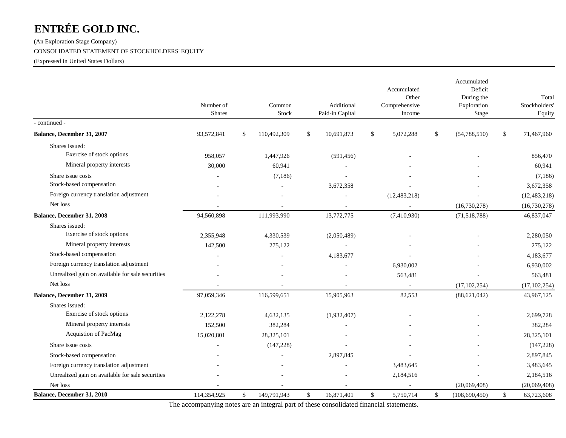(An Exploration Stage Company)

CONSOLIDATED STATEMENT OF STOCKHOLDERS' EQUITY

(Expressed in United States Dollars)

|                                                  | Number of<br><b>Shares</b> | Common<br>Stock   |              | Additional<br>Paid-in Capital |              | Accumulated<br>Other<br>Comprehensive<br>Income |              | Accumulated<br>Deficit<br>During the<br>Exploration<br>Stage |              | Total<br>Stockholders'<br>Equity |
|--------------------------------------------------|----------------------------|-------------------|--------------|-------------------------------|--------------|-------------------------------------------------|--------------|--------------------------------------------------------------|--------------|----------------------------------|
| - continued -                                    |                            |                   |              |                               |              |                                                 |              |                                                              |              |                                  |
| Balance, December 31, 2007                       | 93,572,841                 | \$<br>110,492,309 | \$           | 10,691,873                    | \$           | 5,072,288                                       | $\mathbb{S}$ | (54, 788, 510)                                               | $\mathbb{S}$ | 71,467,960                       |
| Shares issued:                                   |                            |                   |              |                               |              |                                                 |              |                                                              |              |                                  |
| Exercise of stock options                        | 958,057                    | 1,447,926         |              | (591, 456)                    |              |                                                 |              |                                                              |              | 856,470                          |
| Mineral property interests                       | 30,000                     | 60,941            |              |                               |              |                                                 |              |                                                              |              | 60,941                           |
| Share issue costs                                |                            | (7,186)           |              |                               |              |                                                 |              |                                                              |              | (7,186)                          |
| Stock-based compensation                         |                            |                   |              | 3,672,358                     |              |                                                 |              |                                                              |              | 3,672,358                        |
| Foreign currency translation adjustment          |                            |                   |              |                               |              | (12, 483, 218)                                  |              |                                                              |              | (12, 483, 218)                   |
| Net loss                                         |                            |                   |              |                               |              |                                                 |              | (16,730,278)                                                 |              | (16,730,278)                     |
| Balance, December 31, 2008                       | 94,560,898                 | 111,993,990       |              | 13,772,775                    |              | (7,410,930)                                     |              | (71,518,788)                                                 |              | 46,837,047                       |
| Shares issued:                                   |                            |                   |              |                               |              |                                                 |              |                                                              |              |                                  |
| Exercise of stock options                        | 2,355,948                  | 4,330,539         |              | (2,050,489)                   |              |                                                 |              |                                                              |              | 2,280,050                        |
| Mineral property interests                       | 142,500                    | 275.122           |              |                               |              |                                                 |              |                                                              |              | 275,122                          |
| Stock-based compensation                         |                            |                   |              | 4,183,677                     |              |                                                 |              |                                                              |              | 4,183,677                        |
| Foreign currency translation adjustment          |                            |                   |              |                               |              | 6,930,002                                       |              |                                                              |              | 6,930,002                        |
| Unrealized gain on available for sale securities |                            |                   |              |                               |              | 563,481                                         |              |                                                              |              | 563,481                          |
| Net loss                                         |                            |                   |              |                               |              |                                                 |              | (17, 102, 254)                                               |              | (17, 102, 254)                   |
| Balance, December 31, 2009                       | 97,059,346                 | 116,599,651       |              | 15,905,963                    |              | 82,553                                          |              | (88, 621, 042)                                               |              | 43,967,125                       |
| Shares issued:                                   |                            |                   |              |                               |              |                                                 |              |                                                              |              |                                  |
| Exercise of stock options                        | 2,122,278                  | 4,632,135         |              | (1,932,407)                   |              |                                                 |              |                                                              |              | 2,699,728                        |
| Mineral property interests                       | 152,500                    | 382,284           |              |                               |              |                                                 |              |                                                              |              | 382,284                          |
| Acquistion of PacMag                             | 15,020,801                 | 28,325,101        |              |                               |              |                                                 |              |                                                              |              | 28,325,101                       |
| Share issue costs                                |                            | (147, 228)        |              |                               |              |                                                 |              |                                                              |              | (147, 228)                       |
| Stock-based compensation                         |                            |                   |              | 2,897,845                     |              |                                                 |              |                                                              |              | 2,897,845                        |
| Foreign currency translation adjustment          |                            |                   |              |                               |              | 3,483,645                                       |              |                                                              |              | 3,483,645                        |
| Unrealized gain on available for sale securities |                            |                   |              |                               |              | 2,184,516                                       |              |                                                              |              | 2,184,516                        |
| Net loss                                         |                            |                   |              |                               |              |                                                 |              | (20,069,408)                                                 |              | (20,069,408)                     |
| Balance, December 31, 2010                       | 114,354,925                | \$<br>149,791,943 | $\mathbb{S}$ | 16,871,401                    | $\mathbb{S}$ | 5,750,714                                       | $\mathbb{S}$ | (108, 690, 450)                                              | \$           | 63,723,608                       |

The accompanying notes are an integral part of these consolidated financial statements.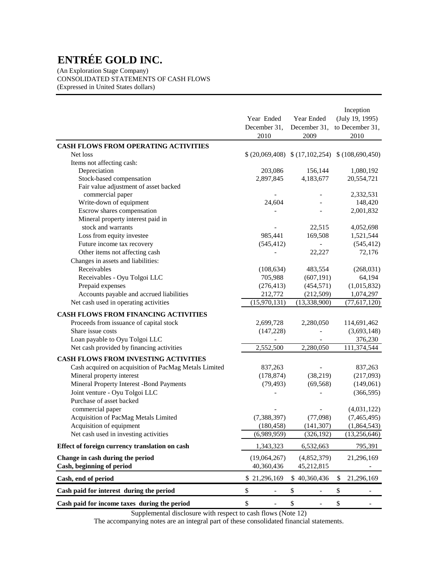(An Exploration Stage Company) CONSOLIDATED STATEMENTS OF CASH FLOWS (Expressed in United States dollars)

|                                                              | Year Ended<br>December 31,<br>2010 | Year Ended<br>December 31,<br>2009 | Inception<br>(July 19, 1995)<br>to December 31,<br>2010 |
|--------------------------------------------------------------|------------------------------------|------------------------------------|---------------------------------------------------------|
| <b>CASH FLOWS FROM OPERATING ACTIVITIES</b>                  |                                    |                                    |                                                         |
| Net loss                                                     |                                    |                                    | $$(20,069,408) \$ (17,102,254) \$ (108,690,450)$        |
| Items not affecting cash:                                    |                                    |                                    |                                                         |
| Depreciation                                                 | 203,086                            | 156,144                            | 1,080,192                                               |
| Stock-based compensation                                     | 2,897,845                          | 4,183,677                          | 20,554,721                                              |
| Fair value adjustment of asset backed                        |                                    |                                    |                                                         |
| commercial paper                                             |                                    |                                    | 2,332,531                                               |
| Write-down of equipment                                      | 24,604                             |                                    | 148,420                                                 |
| Escrow shares compensation                                   |                                    |                                    | 2,001,832                                               |
| Mineral property interest paid in                            |                                    |                                    |                                                         |
| stock and warrants                                           |                                    | 22,515                             | 4,052,698                                               |
| Loss from equity investee                                    | 985,441                            | 169,508                            | 1,521,544                                               |
| Future income tax recovery                                   | (545, 412)                         | $\equiv$                           | (545, 412)                                              |
| Other items not affecting cash                               |                                    | 22,227                             | 72,176                                                  |
| Changes in assets and liabilities:                           |                                    |                                    |                                                         |
| Receivables                                                  | (108, 634)                         | 483,554<br>(607, 191)              | (268, 031)                                              |
| Receivables - Oyu Tolgoi LLC                                 | 705,988<br>(276, 413)              |                                    | 64,194                                                  |
| Prepaid expenses<br>Accounts payable and accrued liabilities | 212,772                            | (454, 571)<br>(212,509)            | (1,015,832)<br>1,074,297                                |
| Net cash used in operating activities                        | (15,970,131)                       | (13,338,900)                       | (77,617,120)                                            |
|                                                              |                                    |                                    |                                                         |
| <b>CASH FLOWS FROM FINANCING ACTIVITIES</b>                  |                                    |                                    |                                                         |
| Proceeds from issuance of capital stock                      | 2,699,728                          | 2,280,050                          | 114,691,462                                             |
| Share issue costs                                            | (147, 228)                         |                                    | (3,693,148)                                             |
| Loan payable to Oyu Tolgoi LLC                               |                                    |                                    | 376,230                                                 |
| Net cash provided by financing activities                    | 2,552,500                          | 2,280,050                          | 111,374,544                                             |
| <b>CASH FLOWS FROM INVESTING ACTIVITIES</b>                  |                                    |                                    |                                                         |
| Cash acquired on acquisition of PacMag Metals Limited        | 837,263                            |                                    | 837,263                                                 |
| Mineral property interest                                    | (178, 874)                         | (38,219)                           | (217,093)                                               |
| Mineral Property Interest -Bond Payments                     | (79, 493)                          | (69, 568)                          | (149,061)                                               |
| Joint venture - Oyu Tolgoi LLC                               |                                    |                                    | (366, 595)                                              |
| Purchase of asset backed                                     |                                    |                                    |                                                         |
| commercial paper                                             |                                    |                                    | (4,031,122)                                             |
| Acquisition of PacMag Metals Limited                         | (7, 388, 397)                      | (77,098)                           | (7,465,495)                                             |
| Acquisition of equipment                                     | (180, 458)                         | (141, 307)                         | (1,864,543)                                             |
| Net cash used in investing activities                        | (6,989,959)                        | (326, 192)                         | (13,256,646)                                            |
| Effect of foreign currency translation on cash               | 1,343,323                          | 6,532,663                          | 795,391                                                 |
| Change in cash during the period                             | (19,064,267)                       | (4,852,379)                        | 21,296,169                                              |
| Cash, beginning of period                                    | 40,360,436                         | 45,212,815                         |                                                         |
| Cash, end of period                                          | \$21,296,169                       | \$40,360,436                       | 21,296,169<br>\$                                        |
| Cash paid for interest during the period                     | \$<br>$\overline{\phantom{0}}$     | \$<br>$\overline{\phantom{a}}$     | \$                                                      |
| Cash paid for income taxes during the period                 | \$<br>÷                            | \$<br>$\overline{\phantom{a}}$     | \$                                                      |

Supplemental disclosure with respect to cash flows (Note 12)

The accompanying notes are an integral part of these consolidated financial statements.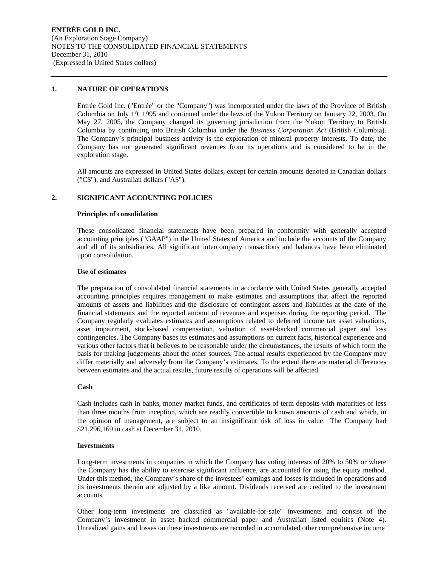#### **1. NATURE OF OPERATIONS**

Entrée Gold Inc. ("Entrée" or the "Company") was incorporated under the laws of the Province of British Columbia on July 19, 1995 and continued under the laws of the Yukon Territory on January 22, 2003. On May 27, 2005, the Company changed its governing jurisdiction from the Yukon Territory to British Columbia by continuing into British Columbia under the *Business Corporation Act* (British Columbia). The Company's principal business activity is the exploration of mineral property interests. To date, the Company has not generated significant revenues from its operations and is considered to be in the exploration stage.

All amounts are expressed in United States dollars, except for certain amounts denoted in Canadian dollars ("C\$"), and Australian dollars ("A\$").

#### **2. SIGNIFICANT ACCOUNTING POLICIES**

#### **Principles of consolidation**

These consolidated financial statements have been prepared in conformity with generally accepted accounting principles ("GAAP") in the United States of America and include the accounts of the Company and all of its subsidiaries. All significant intercompany transactions and balances have been eliminated upon consolidation.

#### **Use of estimates**

The preparation of consolidated financial statements in accordance with United States generally accepted accounting principles requires management to make estimates and assumptions that affect the reported amounts of assets and liabilities and the disclosure of contingent assets and liabilities at the date of the financial statements and the reported amount of revenues and expenses during the reporting period. The Company regularly evaluates estimates and assumptions related to deferred income tax asset valuations, asset impairment, stock-based compensation, valuation of asset-backed commercial paper and loss contingencies. The Company bases its estimates and assumptions on current facts, historical experience and various other factors that it believes to be reasonable under the circumstances, the results of which form the basis for making judgements about the other sources. The actual results experienced by the Company may differ materially and adversely from the Company's estimates. To the extent there are material differences between estimates and the actual results, future results of operations will be affected.

#### **Cash**

Cash includes cash in banks, money market funds, and certificates of term deposits with maturities of less than three months from inception, which are readily convertible to known amounts of cash and which, in the opinion of management, are subject to an insignificant risk of loss in value. The Company had \$21,296,169 in cash at December 31, 2010.

#### **Investments**

Long-term investments in companies in which the Company has voting interests of 20% to 50% or where the Company has the ability to exercise significant influence, are accounted for using the equity method. Under this method, the Company's share of the investees' earnings and losses is included in operations and its investments therein are adjusted by a like amount. Dividends received are credited to the investment accounts.

Other long-term investments are classified as "available-for-sale" investments and consist of the Company's investment in asset backed commercial paper and Australian listed equities (Note 4). Unrealized gains and losses on these investments are recorded in accumulated other comprehensive income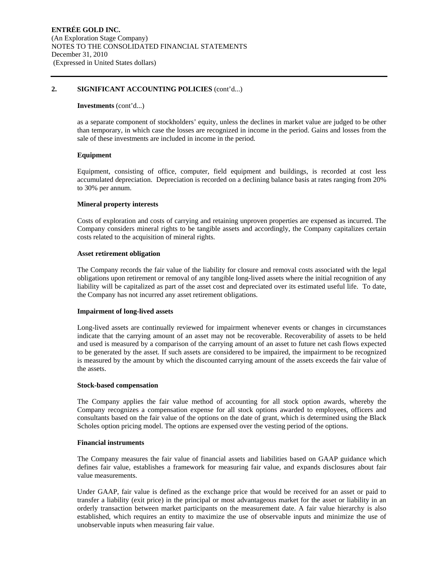#### **2. SIGNIFICANT ACCOUNTING POLICIES** (cont'd...)

#### **Investments** (cont'd...)

as a separate component of stockholders' equity, unless the declines in market value are judged to be other than temporary, in which case the losses are recognized in income in the period. Gains and losses from the sale of these investments are included in income in the period.

#### **Equipment**

Equipment, consisting of office, computer, field equipment and buildings, is recorded at cost less accumulated depreciation. Depreciation is recorded on a declining balance basis at rates ranging from 20% to 30% per annum.

#### **Mineral property interests**

Costs of exploration and costs of carrying and retaining unproven properties are expensed as incurred. The Company considers mineral rights to be tangible assets and accordingly, the Company capitalizes certain costs related to the acquisition of mineral rights.

#### **Asset retirement obligation**

The Company records the fair value of the liability for closure and removal costs associated with the legal obligations upon retirement or removal of any tangible long-lived assets where the initial recognition of any liability will be capitalized as part of the asset cost and depreciated over its estimated useful life. To date, the Company has not incurred any asset retirement obligations.

#### **Impairment of long-lived assets**

Long-lived assets are continually reviewed for impairment whenever events or changes in circumstances indicate that the carrying amount of an asset may not be recoverable. Recoverability of assets to be held and used is measured by a comparison of the carrying amount of an asset to future net cash flows expected to be generated by the asset. If such assets are considered to be impaired, the impairment to be recognized is measured by the amount by which the discounted carrying amount of the assets exceeds the fair value of the assets.

#### **Stock-based compensation**

The Company applies the fair value method of accounting for all stock option awards, whereby the Company recognizes a compensation expense for all stock options awarded to employees, officers and consultants based on the fair value of the options on the date of grant, which is determined using the Black Scholes option pricing model. The options are expensed over the vesting period of the options.

#### **Financial instruments**

The Company measures the fair value of financial assets and liabilities based on GAAP guidance which defines fair value, establishes a framework for measuring fair value, and expands disclosures about fair value measurements.

Under GAAP, fair value is defined as the exchange price that would be received for an asset or paid to transfer a liability (exit price) in the principal or most advantageous market for the asset or liability in an orderly transaction between market participants on the measurement date. A fair value hierarchy is also established, which requires an entity to maximize the use of observable inputs and minimize the use of unobservable inputs when measuring fair value.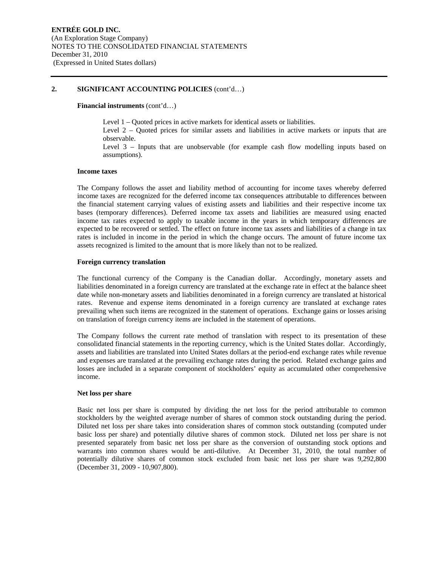#### **2. SIGNIFICANT ACCOUNTING POLICIES** (cont'd…)

#### **Financial instruments** (cont'd…)

Level 1 – Quoted prices in active markets for identical assets or liabilities.

Level 2 – Quoted prices for similar assets and liabilities in active markets or inputs that are observable.

Level 3 – Inputs that are unobservable (for example cash flow modelling inputs based on assumptions).

#### **Income taxes**

The Company follows the asset and liability method of accounting for income taxes whereby deferred income taxes are recognized for the deferred income tax consequences attributable to differences between the financial statement carrying values of existing assets and liabilities and their respective income tax bases (temporary differences). Deferred income tax assets and liabilities are measured using enacted income tax rates expected to apply to taxable income in the years in which temporary differences are expected to be recovered or settled. The effect on future income tax assets and liabilities of a change in tax rates is included in income in the period in which the change occurs. The amount of future income tax assets recognized is limited to the amount that is more likely than not to be realized.

#### **Foreign currency translation**

The functional currency of the Company is the Canadian dollar. Accordingly, monetary assets and liabilities denominated in a foreign currency are translated at the exchange rate in effect at the balance sheet date while non-monetary assets and liabilities denominated in a foreign currency are translated at historical rates. Revenue and expense items denominated in a foreign currency are translated at exchange rates prevailing when such items are recognized in the statement of operations. Exchange gains or losses arising on translation of foreign currency items are included in the statement of operations.

The Company follows the current rate method of translation with respect to its presentation of these consolidated financial statements in the reporting currency, which is the United States dollar. Accordingly, assets and liabilities are translated into United States dollars at the period-end exchange rates while revenue and expenses are translated at the prevailing exchange rates during the period. Related exchange gains and losses are included in a separate component of stockholders' equity as accumulated other comprehensive income.

#### **Net loss per share**

Basic net loss per share is computed by dividing the net loss for the period attributable to common stockholders by the weighted average number of shares of common stock outstanding during the period. Diluted net loss per share takes into consideration shares of common stock outstanding (computed under basic loss per share) and potentially dilutive shares of common stock. Diluted net loss per share is not presented separately from basic net loss per share as the conversion of outstanding stock options and warrants into common shares would be anti-dilutive. At December 31, 2010, the total number of potentially dilutive shares of common stock excluded from basic net loss per share was 9,292,800 (December 31, 2009 - 10,907,800).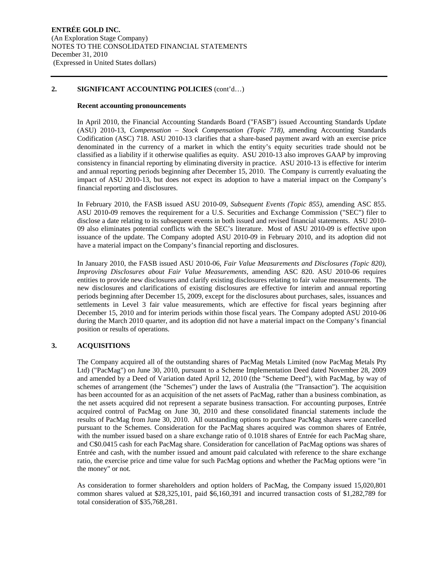#### **2. SIGNIFICANT ACCOUNTING POLICIES** (cont'd…)

#### **Recent accounting pronouncements**

In April 2010, the Financial Accounting Standards Board ("FASB") issued Accounting Standards Update (ASU) 2010-13, *Compensation – Stock Compensation (Topic 718),* amending Accounting Standards Codification (ASC) 718. ASU 2010-13 clarifies that a share-based payment award with an exercise price denominated in the currency of a market in which the entity's equity securities trade should not be classified as a liability if it otherwise qualifies as equity. ASU 2010-13 also improves GAAP by improving consistency in financial reporting by eliminating diversity in practice. ASU 2010-13 is effective for interim and annual reporting periods beginning after December 15, 2010. The Company is currently evaluating the impact of ASU 2010-13, but does not expect its adoption to have a material impact on the Company's financial reporting and disclosures.

In February 2010, the FASB issued ASU 2010-09, *Subsequent Events (Topic 855),* amending ASC 855. ASU 2010-09 removes the requirement for a U.S. Securities and Exchange Commission ("SEC") filer to disclose a date relating to its subsequent events in both issued and revised financial statements. ASU 2010- 09 also eliminates potential conflicts with the SEC's literature. Most of ASU 2010-09 is effective upon issuance of the update. The Company adopted ASU 2010-09 in February 2010, and its adoption did not have a material impact on the Company's financial reporting and disclosures.

In January 2010, the FASB issued ASU 2010-06, *Fair Value Measurements and Disclosures (Topic 820), Improving Disclosures about Fair Value Measurements,* amending ASC 820. ASU 2010-06 requires entities to provide new disclosures and clarify existing disclosures relating to fair value measurements. The new disclosures and clarifications of existing disclosures are effective for interim and annual reporting periods beginning after December 15, 2009, except for the disclosures about purchases, sales, issuances and settlements in Level 3 fair value measurements, which are effective for fiscal years beginning after December 15, 2010 and for interim periods within those fiscal years. The Company adopted ASU 2010-06 during the March 2010 quarter, and its adoption did not have a material impact on the Company's financial position or results of operations.

#### **3. ACQUISITIONS**

The Company acquired all of the outstanding shares of PacMag Metals Limited (now PacMag Metals Pty Ltd) ("PacMag") on June 30, 2010, pursuant to a Scheme Implementation Deed dated November 28, 2009 and amended by a Deed of Variation dated April 12, 2010 (the "Scheme Deed"), with PacMag, by way of schemes of arrangement (the "Schemes") under the laws of Australia (the "Transaction"). The acquisition has been accounted for as an acquisition of the net assets of PacMag, rather than a business combination, as the net assets acquired did not represent a separate business transaction. For accounting purposes, Entrée acquired control of PacMag on June 30, 2010 and these consolidated financial statements include the results of PacMag from June 30, 2010. All outstanding options to purchase PacMag shares were cancelled pursuant to the Schemes. Consideration for the PacMag shares acquired was common shares of Entrée, with the number issued based on a share exchange ratio of 0.1018 shares of Entrée for each PacMag share, and C\$0.0415 cash for each PacMag share. Consideration for cancellation of PacMag options was shares of Entrée and cash, with the number issued and amount paid calculated with reference to the share exchange ratio, the exercise price and time value for such PacMag options and whether the PacMag options were "in the money" or not.

As consideration to former shareholders and option holders of PacMag, the Company issued 15,020,801 common shares valued at \$28,325,101, paid \$6,160,391 and incurred transaction costs of \$1,282,789 for total consideration of \$35,768,281.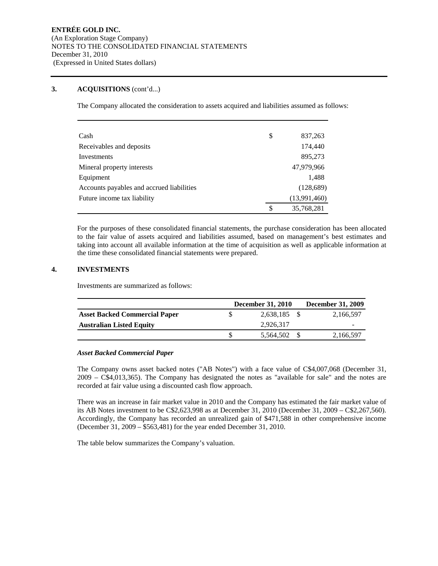#### **3. ACQUISITIONS** (cont'd...)

The Company allocated the consideration to assets acquired and liabilities assumed as follows:

| Cash                                      | \$<br>837,263    |
|-------------------------------------------|------------------|
| Receivables and deposits                  | 174,440          |
| Investments                               | 895,273          |
| Mineral property interests                | 47,979,966       |
| Equipment                                 | 1,488            |
| Accounts payables and accrued liabilities | (128, 689)       |
| Future income tax liability               | (13,991,460)     |
|                                           | \$<br>35,768,281 |

For the purposes of these consolidated financial statements, the purchase consideration has been allocated to the fair value of assets acquired and liabilities assumed, based on management's best estimates and taking into account all available information at the time of acquisition as well as applicable information at the time these consolidated financial statements were prepared.

#### **4. INVESTMENTS**

Investments are summarized as follows:

|                                      | <b>December 31, 2010</b> | <b>December 31, 2009</b> |
|--------------------------------------|--------------------------|--------------------------|
| <b>Asset Backed Commercial Paper</b> | 2,638,185                | 2,166,597                |
| <b>Australian Listed Equity</b>      | 2.926.317                | $\overline{\phantom{a}}$ |
|                                      | 5,564,502                | 2,166,597                |

#### *Asset Backed Commercial Paper*

The Company owns asset backed notes ("AB Notes") with a face value of C\$4,007,068 (December 31, 2009 – C\$4,013,365). The Company has designated the notes as "available for sale" and the notes are recorded at fair value using a discounted cash flow approach.

There was an increase in fair market value in 2010 and the Company has estimated the fair market value of its AB Notes investment to be C\$2,623,998 as at December 31, 2010 (December 31, 2009 – C\$2,267,560). Accordingly, the Company has recorded an unrealized gain of \$471,588 in other comprehensive income (December 31, 2009 – \$563,481) for the year ended December 31, 2010.

The table below summarizes the Company's valuation.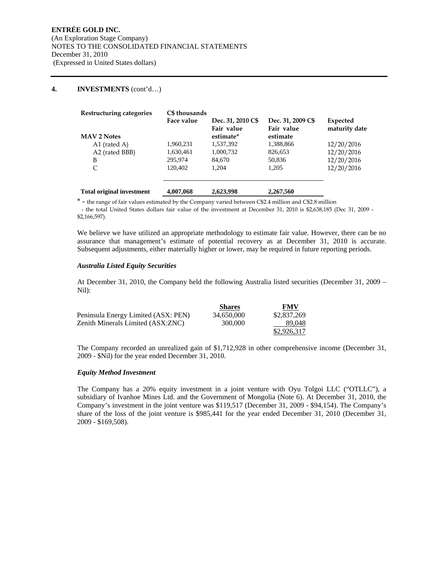#### **4. INVESTMENTS** (cont'd…)

| Restructuring categories         | C\$ thousands |                   |                   |               |
|----------------------------------|---------------|-------------------|-------------------|---------------|
|                                  | Face value    | Dec. 31, 2010 C\$ | Dec. 31, 2009 C\$ | Expected      |
|                                  |               | Fair value        | Fair value        | maturity date |
| <b>MAV 2 Notes</b>               |               | estimate*         | estimate          |               |
| A1 (rated A)                     | 1,960,231     | 1,537,392         | 1,388,866         | 12/20/2016    |
| A2 (rated BBB)                   | 1,630,461     | 1,000,732         | 826,653           | 12/20/2016    |
| B                                | 295,974       | 84,670            | 50,836            | 12/20/2016    |
| C                                | 120.402       | 1,204             | 1,205             | 12/20/2016    |
| <b>Total original investment</b> | 4,007,068     | 2,623,998         | 2,267,560         |               |

\* - the range of fair values estimated by the Company varied between C\$2.4 million and C\$2.8 million - the total United States dollars fair value of the investment at December 31, 2010 is \$2,638,185 (Dec 31, 2009 - \$2,166,597).

We believe we have utilized an appropriate methodology to estimate fair value. However, there can be no assurance that management's estimate of potential recovery as at December 31, 2010 is accurate. Subsequent adjustments, either materially higher or lower, may be required in future reporting periods.

#### *Australia Listed Equity Securities*

At December 31, 2010, the Company held the following Australia listed securities (December 31, 2009 – Nil):

|                                     | <b>Shares</b> | <b>FMV</b>  |
|-------------------------------------|---------------|-------------|
| Peninsula Energy Limited (ASX: PEN) | 34.650.000    | \$2,837,269 |
| Zenith Minerals Limited (ASX:ZNC)   | 300,000       | 89.048      |
|                                     |               | \$2,926,317 |

The Company recorded an unrealized gain of \$1,712,928 in other comprehensive income (December 31, 2009 - \$Nil) for the year ended December 31, 2010.

#### *Equity Method Investment*

The Company has a 20% equity investment in a joint venture with Oyu Tolgoi LLC ("OTLLC"), a subsidiary of Ivanhoe Mines Ltd. and the Government of Mongolia (Note 6). At December 31, 2010, the Company's investment in the joint venture was \$119,517 (December 31, 2009 - \$94,154). The Company's share of the loss of the joint venture is \$985,441 for the year ended December 31, 2010 (December 31, 2009 - \$169,508).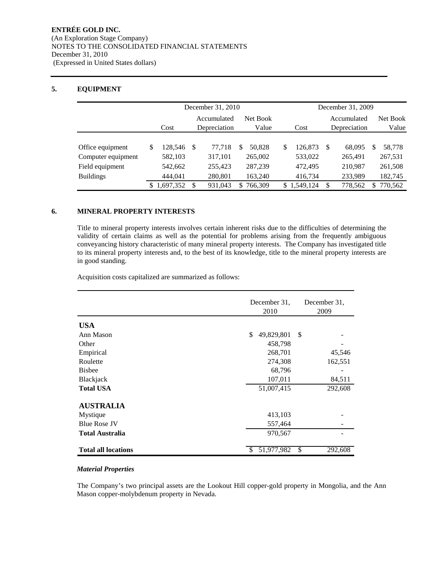### **5. EQUIPMENT**

|                                     | December 31, 2010 |                    |                             |                    |     |                           |    | December 31, 2009           |    |                    |                   |                    |
|-------------------------------------|-------------------|--------------------|-----------------------------|--------------------|-----|---------------------------|----|-----------------------------|----|--------------------|-------------------|--------------------|
|                                     | Cost              |                    | Accumulated<br>Depreciation |                    |     | Net Book<br>Value<br>Cost |    | Accumulated<br>Depreciation |    |                    | Net Book<br>Value |                    |
| Office equipment                    | S                 | 128.546            | -S                          | 77.718             | S   | 50.828                    | \$ | 126,873                     | -S | 68,095             | S                 | 58,778             |
| Computer equipment                  |                   | 582,103            |                             | 317,101            |     | 265,002                   |    | 533,022                     |    | 265,491            |                   | 267,531            |
| Field equipment<br><b>Buildings</b> |                   | 542,662<br>444.041 |                             | 255,423<br>280,801 |     | 287,239<br>163.240        |    | 472,495<br>416,734          |    | 210.987<br>233.989 |                   | 261,508<br>182,745 |
|                                     |                   | 1,697,352          | S                           | 931,043            | SS. | 766,309                   |    | \$1,549,124                 | -S | 778,562            | S.                | 770,562            |

#### **6. MINERAL PROPERTY INTERESTS**

Title to mineral property interests involves certain inherent risks due to the difficulties of determining the validity of certain claims as well as the potential for problems arising from the frequently ambiguous conveyancing history characteristic of many mineral property interests. The Company has investigated title to its mineral property interests and, to the best of its knowledge, title to the mineral property interests are in good standing.

Acquisition costs capitalized are summarized as follows:

|                            | December 31,      | December 31,  |
|----------------------------|-------------------|---------------|
|                            | 2010              | 2009          |
| <b>USA</b>                 |                   |               |
| Ann Mason                  | 49,829,801<br>\$  | S             |
| Other                      | 458,798           |               |
| Empirical                  | 268,701           | 45,546        |
| Roulette                   | 274,308           | 162,551       |
| <b>Bishee</b>              | 68,796            |               |
| Blackjack                  | 107,011           | 84,511        |
| <b>Total USA</b>           | 51,007,415        | 292,608       |
| <b>AUSTRALIA</b>           |                   |               |
| Mystique                   | 413,103           |               |
| <b>Blue Rose JV</b>        | 557,464           |               |
| <b>Total Australia</b>     | 970,567           |               |
| <b>Total all locations</b> | 51,977,982<br>\$. | \$<br>292,608 |

#### *Material Properties*

The Company's two principal assets are the Lookout Hill copper-gold property in Mongolia, and the Ann Mason copper-molybdenum property in Nevada.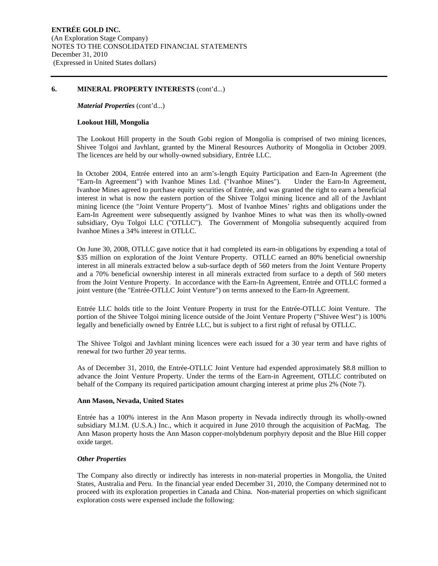#### **6. MINERAL PROPERTY INTERESTS** (cont'd...)

*Material Properties* (cont'd...)

#### **Lookout Hill, Mongolia**

The Lookout Hill property in the South Gobi region of Mongolia is comprised of two mining licences, Shivee Tolgoi and Javhlant, granted by the Mineral Resources Authority of Mongolia in October 2009. The licences are held by our wholly-owned subsidiary, Entrée LLC.

In October 2004, Entrée entered into an arm's-length Equity Participation and Earn-In Agreement (the "Earn-In Agreement") with Ivanhoe Mines Ltd. ("Ivanhoe Mines"). Under the Earn-In Agreement, Ivanhoe Mines agreed to purchase equity securities of Entrée, and was granted the right to earn a beneficial interest in what is now the eastern portion of the Shivee Tolgoi mining licence and all of the Javhlant mining licence (the "Joint Venture Property"). Most of Ivanhoe Mines' rights and obligations under the Earn-In Agreement were subsequently assigned by Ivanhoe Mines to what was then its wholly-owned subsidiary, Oyu Tolgoi LLC ("OTLLC"). The Government of Mongolia subsequently acquired from Ivanhoe Mines a 34% interest in OTLLC.

On June 30, 2008, OTLLC gave notice that it had completed its earn-in obligations by expending a total of \$35 million on exploration of the Joint Venture Property. OTLLC earned an 80% beneficial ownership interest in all minerals extracted below a sub-surface depth of 560 meters from the Joint Venture Property and a 70% beneficial ownership interest in all minerals extracted from surface to a depth of 560 meters from the Joint Venture Property. In accordance with the Earn-In Agreement, Entrée and OTLLC formed a joint venture (the "Entrée-OTLLC Joint Venture") on terms annexed to the Earn-In Agreement.

Entrée LLC holds title to the Joint Venture Property in trust for the Entrée-OTLLC Joint Venture. The portion of the Shivee Tolgoi mining licence outside of the Joint Venture Property ("Shivee West") is 100% legally and beneficially owned by Entrée LLC, but is subject to a first right of refusal by OTLLC.

The Shivee Tolgoi and Javhlant mining licences were each issued for a 30 year term and have rights of renewal for two further 20 year terms.

As of December 31, 2010, the Entrée-OTLLC Joint Venture had expended approximately \$8.8 million to advance the Joint Venture Property. Under the terms of the Earn-in Agreement, OTLLC contributed on behalf of the Company its required participation amount charging interest at prime plus 2% (Note 7).

#### **Ann Mason, Nevada, United States**

Entrée has a 100% interest in the Ann Mason property in Nevada indirectly through its wholly-owned subsidiary M.I.M. (U.S.A.) Inc., which it acquired in June 2010 through the acquisition of PacMag. The Ann Mason property hosts the Ann Mason copper-molybdenum porphyry deposit and the Blue Hill copper oxide target.

#### *Other Properties*

The Company also directly or indirectly has interests in non-material properties in Mongolia, the United States, Australia and Peru. In the financial year ended December 31, 2010, the Company determined not to proceed with its exploration properties in Canada and China. Non-material properties on which significant exploration costs were expensed include the following: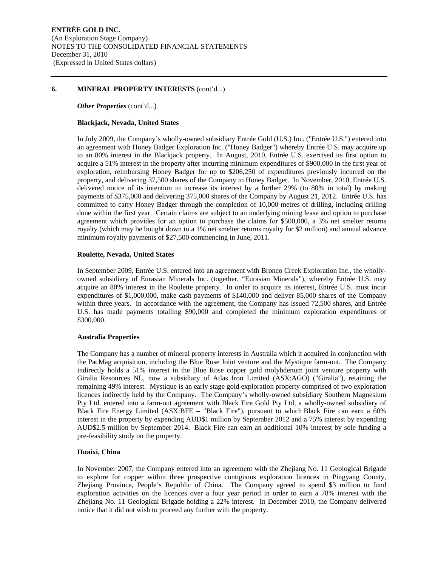#### **6. MINERAL PROPERTY INTERESTS** (cont'd...)

#### *Other Properties (cont'd...)*

#### **Blackjack, Nevada, United States**

In July 2009, the Company's wholly-owned subsidiary Entrée Gold (U.S.) Inc. ("Entrée U.S.") entered into an agreement with Honey Badger Exploration Inc. ("Honey Badger") whereby Entrée U.S. may acquire up to an 80% interest in the Blackjack property. In August, 2010, Entrée U.S. exercised its first option to acquire a 51% interest in the property after incurring minimum expenditures of \$900,000 in the first year of exploration, reimbursing Honey Badger for up to \$206,250 of expenditures previously incurred on the property, and delivering 37,500 shares of the Company to Honey Badger. In November, 2010, Entrée U.S. delivered notice of its intention to increase its interest by a further 29% (to 80% in total) by making payments of \$375,000 and delivering 375,000 shares of the Company by August 21, 2012. Entrée U.S. has committed to carry Honey Badger through the completion of 10,000 metres of drilling, including drilling done within the first year. Certain claims are subject to an underlying mining lease and option to purchase agreement which provides for an option to purchase the claims for \$500,000, a 3% net smelter returns royalty (which may be bought down to a 1% net smelter returns royalty for \$2 million) and annual advance minimum royalty payments of \$27,500 commencing in June, 2011.

#### **Roulette, Nevada, United States**

In September 2009, Entrée U.S. entered into an agreement with Bronco Creek Exploration Inc., the whollyowned subsidiary of Eurasian Minerals Inc. (together, "Eurasian Minerals"), whereby Entrée U.S. may acquire an 80% interest in the Roulette property. In order to acquire its interest, Entrée U.S. must incur expenditures of \$1,000,000, make cash payments of \$140,000 and deliver 85,000 shares of the Company within three years. In accordance with the agreement, the Company has issued 72,500 shares, and Entrée U.S. has made payments totalling \$90,000 and completed the minimum exploration expenditures of \$300,000.

#### **Australia Properties**

The Company has a number of mineral property interests in Australia which it acquired in conjunction with the PacMag acquisition, including the Blue Rose Joint venture and the Mystique farm-out. The Company indirectly holds a 51% interest in the Blue Rose copper gold molybdenum joint venture property with Giralia Resources NL, now a subsidiary of Atlas Iron Limited (ASX:AGO) ("Giralia"), retaining the remaining 49% interest. Mystique is an early stage gold exploration property comprised of two exploration licences indirectly held by the Company. The Company's wholly-owned subsidiary Southern Magnesium Pty Ltd. entered into a farm-out agreement with Black Fire Gold Pty Ltd, a wholly-owned subsidiary of Black Fire Energy Limited (ASX:BFE – "Black Fire"), pursuant to which Black Fire can earn a 60% interest in the property by expending AUD\$1 million by September 2012 and a 75% interest by expending AUD\$2.5 million by September 2014. Black Fire can earn an additional 10% interest by sole funding a pre-feasibility study on the property.

#### **Huaixi, China**

In November 2007, the Company entered into an agreement with the Zhejiang No. 11 Geological Brigade to explore for copper within three prospective contiguous exploration licences in Pingyang County, Zhejiang Province, People's Republic of China. The Company agreed to spend \$3 million to fund exploration activities on the licences over a four year period in order to earn a 78% interest with the Zhejiang No. 11 Geological Brigade holding a 22% interest. In December 2010, the Company delivered notice that it did not wish to proceed any further with the property.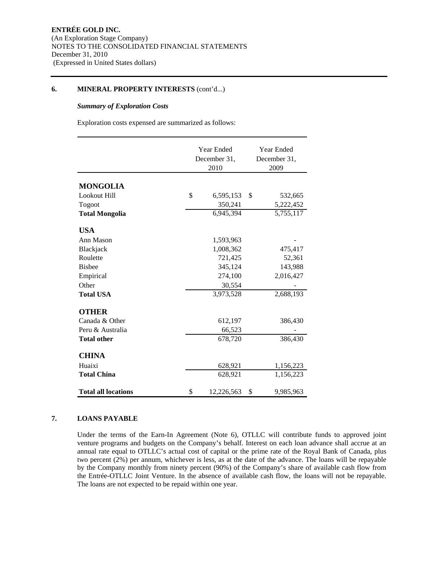#### **6. MINERAL PROPERTY INTERESTS** (cont'd...)

#### *Summary of Exploration Costs*

Exploration costs expensed are summarized as follows:

|                            | Year Ended<br>December 31,<br>2010 | Year Ended<br>December 31,<br>2009 |                      |  |
|----------------------------|------------------------------------|------------------------------------|----------------------|--|
| <b>MONGOLIA</b>            |                                    |                                    |                      |  |
| Lookout Hill               | \$<br>6,595,153                    | \$                                 |                      |  |
| Togoot                     | 350,241                            |                                    | 532,665<br>5,222,452 |  |
| <b>Total Mongolia</b>      | 6,945,394                          |                                    | 5,755,117            |  |
|                            |                                    |                                    |                      |  |
| <b>USA</b>                 |                                    |                                    |                      |  |
| Ann Mason                  | 1,593,963                          |                                    |                      |  |
| Blackjack                  | 1,008,362                          |                                    | 475,417              |  |
| Roulette                   | 721,425                            |                                    | 52,361               |  |
| <b>Bisbee</b>              | 345,124                            |                                    | 143,988              |  |
| Empirical                  | 274,100                            |                                    | 2,016,427            |  |
| Other                      | 30,554                             |                                    |                      |  |
| <b>Total USA</b>           | 3,973,528                          |                                    | 2,688,193            |  |
| <b>OTHER</b>               |                                    |                                    |                      |  |
| Canada & Other             | 612,197                            |                                    | 386,430              |  |
| Peru & Australia           | 66,523                             |                                    |                      |  |
| <b>Total other</b>         | 678,720                            |                                    | 386,430              |  |
| <b>CHINA</b>               |                                    |                                    |                      |  |
| Huaixi                     | 628,921                            |                                    | 1,156,223            |  |
| <b>Total China</b>         | 628,921                            |                                    | 1,156,223            |  |
| <b>Total all locations</b> | \$<br>12,226,563                   | \$                                 | 9,985,963            |  |

#### **7. LOANS PAYABLE**

Under the terms of the Earn-In Agreement (Note 6), OTLLC will contribute funds to approved joint venture programs and budgets on the Company's behalf. Interest on each loan advance shall accrue at an annual rate equal to OTLLC's actual cost of capital or the prime rate of the Royal Bank of Canada, plus two percent (2%) per annum, whichever is less, as at the date of the advance. The loans will be repayable by the Company monthly from ninety percent (90%) of the Company's share of available cash flow from the Entrée-OTLLC Joint Venture. In the absence of available cash flow, the loans will not be repayable. The loans are not expected to be repaid within one year.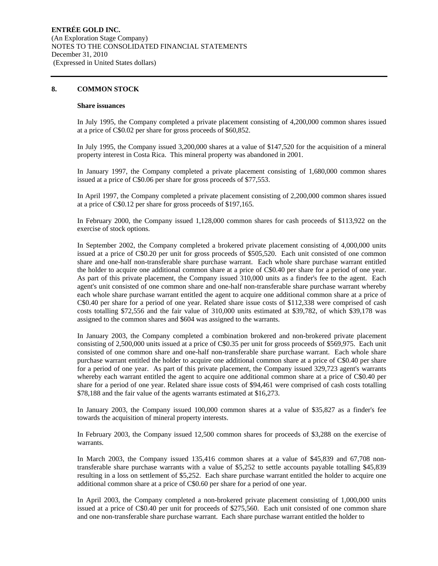#### **8. COMMON STOCK**

#### **Share issuances**

In July 1995, the Company completed a private placement consisting of 4,200,000 common shares issued at a price of C\$0.02 per share for gross proceeds of \$60,852.

In July 1995, the Company issued 3,200,000 shares at a value of \$147,520 for the acquisition of a mineral property interest in Costa Rica. This mineral property was abandoned in 2001.

In January 1997, the Company completed a private placement consisting of 1,680,000 common shares issued at a price of C\$0.06 per share for gross proceeds of \$77,553.

In April 1997, the Company completed a private placement consisting of 2,200,000 common shares issued at a price of C\$0.12 per share for gross proceeds of \$197,165.

In February 2000, the Company issued 1,128,000 common shares for cash proceeds of \$113,922 on the exercise of stock options.

In September 2002, the Company completed a brokered private placement consisting of 4,000,000 units issued at a price of C\$0.20 per unit for gross proceeds of \$505,520. Each unit consisted of one common share and one-half non-transferable share purchase warrant. Each whole share purchase warrant entitled the holder to acquire one additional common share at a price of C\$0.40 per share for a period of one year. As part of this private placement, the Company issued 310,000 units as a finder's fee to the agent. Each agent's unit consisted of one common share and one-half non-transferable share purchase warrant whereby each whole share purchase warrant entitled the agent to acquire one additional common share at a price of C\$0.40 per share for a period of one year. Related share issue costs of \$112,338 were comprised of cash costs totalling \$72,556 and the fair value of 310,000 units estimated at \$39,782, of which \$39,178 was assigned to the common shares and \$604 was assigned to the warrants.

In January 2003, the Company completed a combination brokered and non-brokered private placement consisting of 2,500,000 units issued at a price of C\$0.35 per unit for gross proceeds of \$569,975. Each unit consisted of one common share and one-half non-transferable share purchase warrant. Each whole share purchase warrant entitled the holder to acquire one additional common share at a price of C\$0.40 per share for a period of one year. As part of this private placement, the Company issued 329,723 agent's warrants whereby each warrant entitled the agent to acquire one additional common share at a price of C\$0.40 per share for a period of one year. Related share issue costs of \$94,461 were comprised of cash costs totalling \$78,188 and the fair value of the agents warrants estimated at \$16,273.

In January 2003, the Company issued 100,000 common shares at a value of \$35,827 as a finder's fee towards the acquisition of mineral property interests.

In February 2003, the Company issued 12,500 common shares for proceeds of \$3,288 on the exercise of warrants.

In March 2003, the Company issued 135,416 common shares at a value of \$45,839 and 67,708 nontransferable share purchase warrants with a value of \$5,252 to settle accounts payable totalling \$45,839 resulting in a loss on settlement of \$5,252. Each share purchase warrant entitled the holder to acquire one additional common share at a price of C\$0.60 per share for a period of one year.

In April 2003, the Company completed a non-brokered private placement consisting of 1,000,000 units issued at a price of C\$0.40 per unit for proceeds of \$275,560. Each unit consisted of one common share and one non-transferable share purchase warrant. Each share purchase warrant entitled the holder to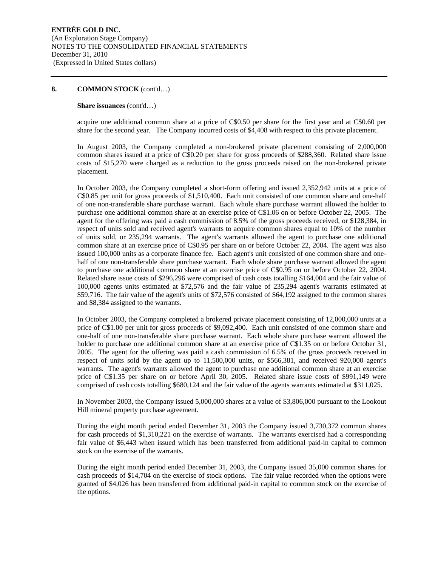#### **Share issuances** (cont'd…)

acquire one additional common share at a price of C\$0.50 per share for the first year and at C\$0.60 per share for the second year. The Company incurred costs of \$4,408 with respect to this private placement.

In August 2003, the Company completed a non-brokered private placement consisting of 2,000,000 common shares issued at a price of C\$0.20 per share for gross proceeds of \$288,360. Related share issue costs of \$15,270 were charged as a reduction to the gross proceeds raised on the non-brokered private placement.

In October 2003, the Company completed a short-form offering and issued 2,352,942 units at a price of C\$0.85 per unit for gross proceeds of \$1,510,400. Each unit consisted of one common share and one-half of one non-transferable share purchase warrant. Each whole share purchase warrant allowed the holder to purchase one additional common share at an exercise price of C\$1.06 on or before October 22, 2005. The agent for the offering was paid a cash commission of 8.5% of the gross proceeds received, or \$128,384, in respect of units sold and received agent's warrants to acquire common shares equal to 10% of the number of units sold, or 235,294 warrants. The agent's warrants allowed the agent to purchase one additional common share at an exercise price of C\$0.95 per share on or before October 22, 2004. The agent was also issued 100,000 units as a corporate finance fee. Each agent's unit consisted of one common share and onehalf of one non-transferable share purchase warrant. Each whole share purchase warrant allowed the agent to purchase one additional common share at an exercise price of C\$0.95 on or before October 22, 2004. Related share issue costs of \$296,296 were comprised of cash costs totalling \$164,004 and the fair value of 100,000 agents units estimated at \$72,576 and the fair value of 235,294 agent's warrants estimated at \$59,716. The fair value of the agent's units of \$72,576 consisted of \$64,192 assigned to the common shares and \$8,384 assigned to the warrants.

In October 2003, the Company completed a brokered private placement consisting of 12,000,000 units at a price of C\$1.00 per unit for gross proceeds of \$9,092,400. Each unit consisted of one common share and one-half of one non-transferable share purchase warrant. Each whole share purchase warrant allowed the holder to purchase one additional common share at an exercise price of C\$1.35 on or before October 31, 2005. The agent for the offering was paid a cash commission of 6.5% of the gross proceeds received in respect of units sold by the agent up to 11,500,000 units, or \$566,381, and received 920,000 agent's warrants. The agent's warrants allowed the agent to purchase one additional common share at an exercise price of C\$1.35 per share on or before April 30, 2005. Related share issue costs of \$991,149 were comprised of cash costs totalling \$680,124 and the fair value of the agents warrants estimated at \$311,025.

In November 2003, the Company issued 5,000,000 shares at a value of \$3,806,000 pursuant to the Lookout Hill mineral property purchase agreement.

During the eight month period ended December 31, 2003 the Company issued 3,730,372 common shares for cash proceeds of \$1,310,221 on the exercise of warrants. The warrants exercised had a corresponding fair value of \$6,443 when issued which has been transferred from additional paid-in capital to common stock on the exercise of the warrants.

During the eight month period ended December 31, 2003, the Company issued 35,000 common shares for cash proceeds of \$14,704 on the exercise of stock options. The fair value recorded when the options were granted of \$4,026 has been transferred from additional paid-in capital to common stock on the exercise of the options.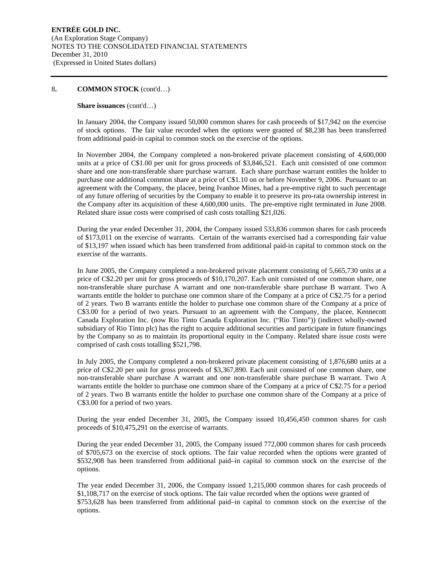#### **Share issuances** (cont'd…)

In January 2004, the Company issued 50,000 common shares for cash proceeds of \$17,942 on the exercise of stock options. The fair value recorded when the options were granted of \$8,238 has been transferred from additional paid-in capital to common stock on the exercise of the options.

In November 2004, the Company completed a non-brokered private placement consisting of 4,600,000 units at a price of C\$1.00 per unit for gross proceeds of \$3,846,521. Each unit consisted of one common share and one non-transferable share purchase warrant. Each share purchase warrant entitles the holder to purchase one additional common share at a price of C\$1.10 on or before November 9, 2006. Pursuant to an agreement with the Company, the placee, being Ivanhoe Mines, had a pre-emptive right to such percentage of any future offering of securities by the Company to enable it to preserve its pro-rata ownership interest in the Company after its acquisition of these 4,600,000 units. The pre-emptive right terminated in June 2008. Related share issue costs were comprised of cash costs totalling \$21,026.

During the year ended December 31, 2004, the Company issued 533,836 common shares for cash proceeds of \$173,011 on the exercise of warrants. Certain of the warrants exercised had a corresponding fair value of \$13,197 when issued which has been transferred from additional paid-in capital to common stock on the exercise of the warrants.

In June 2005, the Company completed a non-brokered private placement consisting of 5,665,730 units at a price of C\$2.20 per unit for gross proceeds of \$10,170,207. Each unit consisted of one common share, one non-transferable share purchase A warrant and one non-transferable share purchase B warrant. Two A warrants entitle the holder to purchase one common share of the Company at a price of C\$2.75 for a period of 2 years. Two B warrants entitle the holder to purchase one common share of the Company at a price of C\$3.00 for a period of two years. Pursuant to an agreement with the Company, the placee, Kennecott Canada Exploration Inc. (now Rio Tinto Canada Exploration Inc. ("Rio Tinto")) (indirect wholly-owned subsidiary of Rio Tinto plc) has the right to acquire additional securities and participate in future financings by the Company so as to maintain its proportional equity in the Company. Related share issue costs were comprised of cash costs totalling \$521,798.

In July 2005, the Company completed a non-brokered private placement consisting of 1,876,680 units at a price of C\$2.20 per unit for gross proceeds of \$3,367,890. Each unit consisted of one common share, one non-transferable share purchase A warrant and one non-transferable share purchase B warrant. Two A warrants entitle the holder to purchase one common share of the Company at a price of C\$2.75 for a period of 2 years. Two B warrants entitle the holder to purchase one common share of the Company at a price of C\$3.00 for a period of two years.

During the year ended December 31, 2005, the Company issued 10,456,450 common shares for cash proceeds of \$10,475,291 on the exercise of warrants.

During the year ended December 31, 2005, the Company issued 772,000 common shares for cash proceeds of \$705,673 on the exercise of stock options. The fair value recorded when the options were granted of \$532,908 has been transferred from additional paid–in capital to common stock on the exercise of the options.

The year ended December 31, 2006, the Company issued 1,215,000 common shares for cash proceeds of \$1,108,717 on the exercise of stock options. The fair value recorded when the options were granted of \$753,628 has been transferred from additional paid–in capital to common stock on the exercise of the options.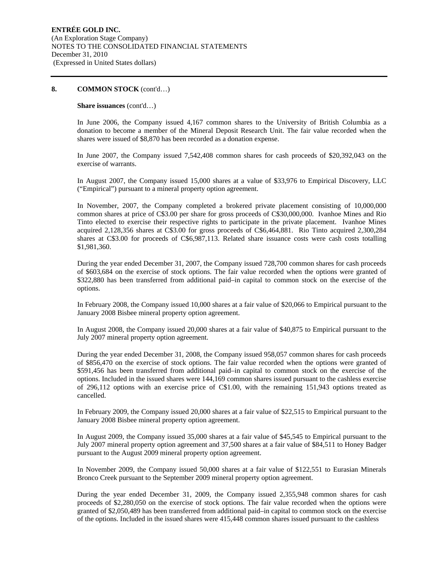#### **Share issuances** (cont'd…)

In June 2006, the Company issued 4,167 common shares to the University of British Columbia as a donation to become a member of the Mineral Deposit Research Unit. The fair value recorded when the shares were issued of \$8,870 has been recorded as a donation expense.

In June 2007, the Company issued 7,542,408 common shares for cash proceeds of \$20,392,043 on the exercise of warrants.

In August 2007, the Company issued 15,000 shares at a value of \$33,976 to Empirical Discovery, LLC ("Empirical") pursuant to a mineral property option agreement.

In November, 2007, the Company completed a brokered private placement consisting of 10,000,000 common shares at price of C\$3.00 per share for gross proceeds of C\$30,000,000. Ivanhoe Mines and Rio Tinto elected to exercise their respective rights to participate in the private placement. Ivanhoe Mines acquired 2,128,356 shares at C\$3.00 for gross proceeds of C\$6,464,881. Rio Tinto acquired 2,300,284 shares at C\$3.00 for proceeds of C\$6,987,113. Related share issuance costs were cash costs totalling \$1,981,360.

During the year ended December 31, 2007, the Company issued 728,700 common shares for cash proceeds of \$603,684 on the exercise of stock options. The fair value recorded when the options were granted of \$322,880 has been transferred from additional paid–in capital to common stock on the exercise of the options.

In February 2008, the Company issued 10,000 shares at a fair value of \$20,066 to Empirical pursuant to the January 2008 Bisbee mineral property option agreement.

In August 2008, the Company issued 20,000 shares at a fair value of \$40,875 to Empirical pursuant to the July 2007 mineral property option agreement.

During the year ended December 31, 2008, the Company issued 958,057 common shares for cash proceeds of \$856,470 on the exercise of stock options. The fair value recorded when the options were granted of \$591,456 has been transferred from additional paid–in capital to common stock on the exercise of the options. Included in the issued shares were 144,169 common shares issued pursuant to the cashless exercise of 296,112 options with an exercise price of C\$1.00, with the remaining 151,943 options treated as cancelled.

In February 2009, the Company issued 20,000 shares at a fair value of \$22,515 to Empirical pursuant to the January 2008 Bisbee mineral property option agreement.

In August 2009, the Company issued 35,000 shares at a fair value of \$45,545 to Empirical pursuant to the July 2007 mineral property option agreement and 37,500 shares at a fair value of \$84,511 to Honey Badger pursuant to the August 2009 mineral property option agreement.

In November 2009, the Company issued 50,000 shares at a fair value of \$122,551 to Eurasian Minerals Bronco Creek pursuant to the September 2009 mineral property option agreement.

During the year ended December 31, 2009, the Company issued 2,355,948 common shares for cash proceeds of \$2,280,050 on the exercise of stock options. The fair value recorded when the options were granted of \$2,050,489 has been transferred from additional paid–in capital to common stock on the exercise of the options. Included in the issued shares were 415,448 common shares issued pursuant to the cashless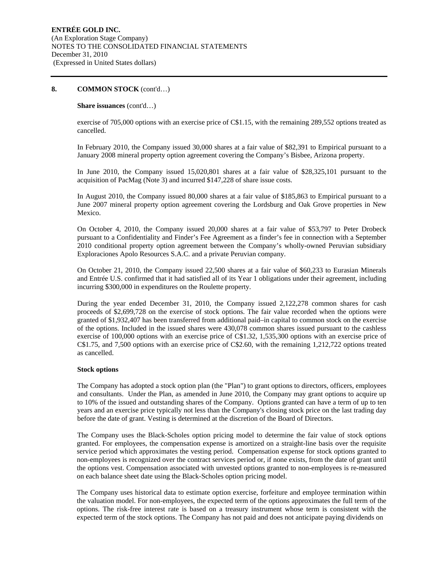#### **Share issuances** (cont'd…)

exercise of 705,000 options with an exercise price of C\$1.15, with the remaining 289,552 options treated as cancelled.

In February 2010, the Company issued 30,000 shares at a fair value of \$82,391 to Empirical pursuant to a January 2008 mineral property option agreement covering the Company's Bisbee, Arizona property.

In June 2010, the Company issued 15,020,801 shares at a fair value of \$28,325,101 pursuant to the acquisition of PacMag (Note 3) and incurred \$147,228 of share issue costs.

In August 2010, the Company issued 80,000 shares at a fair value of \$185,863 to Empirical pursuant to a June 2007 mineral property option agreement covering the Lordsburg and Oak Grove properties in New Mexico.

On October 4, 2010, the Company issued 20,000 shares at a fair value of \$53,797 to Peter Drobeck pursuant to a Confidentiality and Finder's Fee Agreement as a finder's fee in connection with a September 2010 conditional property option agreement between the Company's wholly-owned Peruvian subsidiary Exploraciones Apolo Resources S.A.C. and a private Peruvian company.

On October 21, 2010, the Company issued 22,500 shares at a fair value of \$60,233 to Eurasian Minerals and Entrée U.S. confirmed that it had satisfied all of its Year 1 obligations under their agreement, including incurring \$300,000 in expenditures on the Roulette property.

During the year ended December 31, 2010, the Company issued 2,122,278 common shares for cash proceeds of \$2,699,728 on the exercise of stock options. The fair value recorded when the options were granted of \$1,932,407 has been transferred from additional paid–in capital to common stock on the exercise of the options. Included in the issued shares were 430,078 common shares issued pursuant to the cashless exercise of 100,000 options with an exercise price of C\$1.32, 1,535,300 options with an exercise price of C\$1.75, and 7,500 options with an exercise price of C\$2.60, with the remaining 1,212,722 options treated as cancelled.

#### **Stock options**

The Company has adopted a stock option plan (the "Plan") to grant options to directors, officers, employees and consultants. Under the Plan, as amended in June 2010, the Company may grant options to acquire up to 10% of the issued and outstanding shares of the Company. Options granted can have a term of up to ten years and an exercise price typically not less than the Company's closing stock price on the last trading day before the date of grant. Vesting is determined at the discretion of the Board of Directors.

The Company uses the Black-Scholes option pricing model to determine the fair value of stock options granted. For employees, the compensation expense is amortized on a straight-line basis over the requisite service period which approximates the vesting period. Compensation expense for stock options granted to non-employees is recognized over the contract services period or, if none exists, from the date of grant until the options vest. Compensation associated with unvested options granted to non-employees is re-measured on each balance sheet date using the Black-Scholes option pricing model.

The Company uses historical data to estimate option exercise, forfeiture and employee termination within the valuation model. For non-employees, the expected term of the options approximates the full term of the options. The risk-free interest rate is based on a treasury instrument whose term is consistent with the expected term of the stock options. The Company has not paid and does not anticipate paying dividends on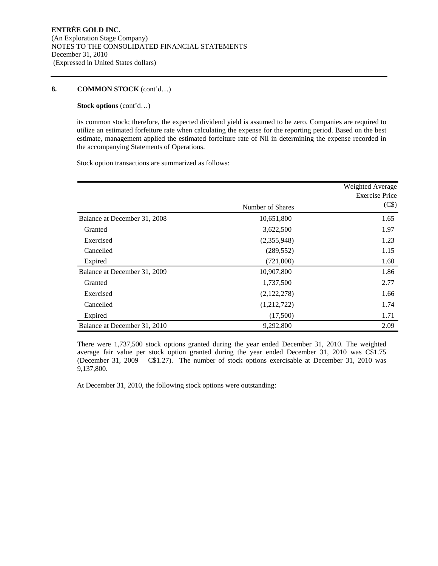#### **Stock options** (cont'd…)

its common stock; therefore, the expected dividend yield is assumed to be zero. Companies are required to utilize an estimated forfeiture rate when calculating the expense for the reporting period. Based on the best estimate, management applied the estimated forfeiture rate of Nil in determining the expense recorded in the accompanying Statements of Operations.

Stock option transactions are summarized as follows:

|                              | Number of Shares | Weighted Average<br><b>Exercise Price</b><br>(C\$) |
|------------------------------|------------------|----------------------------------------------------|
|                              |                  |                                                    |
| Balance at December 31, 2008 | 10,651,800       | 1.65                                               |
| Granted                      | 3,622,500        | 1.97                                               |
| Exercised                    | (2,355,948)      | 1.23                                               |
| Cancelled                    | (289, 552)       | 1.15                                               |
| Expired                      | (721,000)        | 1.60                                               |
| Balance at December 31, 2009 | 10,907,800       | 1.86                                               |
| Granted                      | 1,737,500        | 2.77                                               |
| Exercised                    | (2,122,278)      | 1.66                                               |
| Cancelled                    | (1,212,722)      | 1.74                                               |
| Expired                      | (17,500)         | 1.71                                               |
| Balance at December 31, 2010 | 9,292,800        | 2.09                                               |

There were 1,737,500 stock options granted during the year ended December 31, 2010. The weighted average fair value per stock option granted during the year ended December 31, 2010 was C\$1.75 (December 31, 2009 – C\$1.27). The number of stock options exercisable at December 31, 2010 was 9,137,800.

At December 31, 2010, the following stock options were outstanding: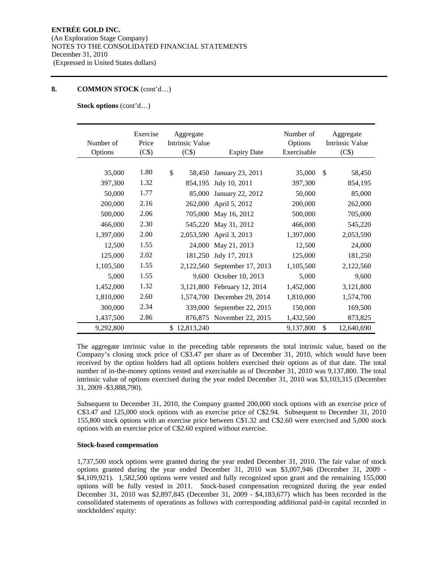**Stock options** (cont'd…)

| Number of<br>Options | Exercise<br>Price<br>(C\$) | Aggregate<br><b>Intrinsic Value</b><br>(C\$) | <b>Expiry Date</b>        | Number of<br>Options<br>Exercisable | Aggregate<br><b>Intrinsic Value</b><br>(C\$) |
|----------------------|----------------------------|----------------------------------------------|---------------------------|-------------------------------------|----------------------------------------------|
|                      |                            |                                              |                           |                                     |                                              |
| 35,000               | 1.80                       | \$<br>58,450                                 | January 23, 2011          | 35,000                              | $\mathcal{S}$<br>58,450                      |
| 397,300              | 1.32                       | 854,195                                      | July 10, 2011             | 397,300                             | 854,195                                      |
| 50,000               | 1.77                       | 85,000                                       | January 22, 2012          | 50,000                              | 85,000                                       |
| 200,000              | 2.16                       | 262,000                                      | April 5, 2012             | 200,000                             | 262,000                                      |
| 500,000              | 2.06                       | 705,000                                      | May 16, 2012              | 500,000                             | 705,000                                      |
| 466,000              | 2.30                       | 545,220                                      | May 31, 2012              | 466,000                             | 545,220                                      |
| 1,397,000            | 2.00                       | 2,053,590                                    | April 3, 2013             | 1,397,000                           | 2,053,590                                    |
| 12,500               | 1.55                       | 24,000                                       | May 21, 2013              | 12,500                              | 24,000                                       |
| 125,000              | 2.02                       | 181,250                                      | July 17, 2013             | 125,000                             | 181,250                                      |
| 1,105,500            | 1.55                       | 2,122,560                                    | September 17, 2013        | 1,105,500                           | 2,122,560                                    |
| 5,000                | 1.55                       | 9,600                                        | October 10, 2013          | 5,000                               | 9,600                                        |
| 1,452,000            | 1.32                       | 3,121,800                                    | February 12, 2014         | 1,452,000                           | 3,121,800                                    |
| 1,810,000            | 2.60                       | 1,574,700                                    | December 29, 2014         | 1,810,000                           | 1,574,700                                    |
| 300,000              | 2.34                       | 339,000                                      | September 22, 2015        | 150,000                             | 169,500                                      |
| 1,437,500            | 2.86                       |                                              | 876,875 November 22, 2015 | 1,432,500                           | 873,825                                      |
| 9,292,800            |                            | \$12,813,240                                 |                           | 9,137,800                           | \$<br>12,640,690                             |

The aggregate intrinsic value in the preceding table represents the total intrinsic value, based on the Company's closing stock price of C\$3.47 per share as of December 31, 2010, which would have been received by the option holders had all options holders exercised their options as of that date. The total number of in-the-money options vested and exercisable as of December 31, 2010 was 9,137,800. The total intrinsic value of options exercised during the year ended December 31, 2010 was \$3,103,315 (December 31, 2009 -\$3,888,790).

Subsequent to December 31, 2010, the Company granted 200,000 stock options with an exercise price of C\$3.47 and 125,000 stock options with an exercise price of C\$2.94. Subsequent to December 31, 2010 155,800 stock options with an exercise price between C\$1.32 and C\$2.60 were exercised and 5,000 stock options with an exercise price of C\$2.60 expired without exercise.

#### **Stock-based compensation**

1,737,500 stock options were granted during the year ended December 31, 2010. The fair value of stock options granted during the year ended December 31, 2010 was \$3,007,946 (December 31, 2009 - \$4,109,921). 1,582,500 options were vested and fully recognized upon grant and the remaining 155,000 options will be fully vested in 2011. Stock-based compensation recognized during the year ended December 31, 2010 was \$2,897,845 (December 31, 2009 - \$4,183,677) which has been recorded in the consolidated statements of operations as follows with corresponding additional paid-in capital recorded in stockholders' equity: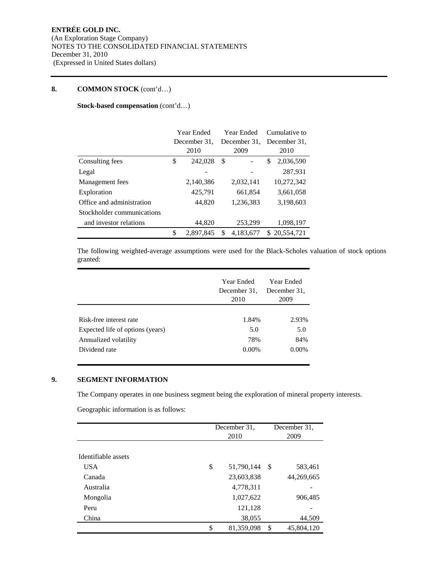### **Stock-based compensation** (cont'd…)

|                            | Year Ended |              | Year Ended |              | Cumulative to    |
|----------------------------|------------|--------------|------------|--------------|------------------|
|                            |            | December 31. |            | December 31. | December 31.     |
|                            |            | 2010         |            | 2009         | 2010             |
| Consulting fees            | \$         | 242,028      | \$         |              | 2,036,590<br>\$  |
| Legal                      |            |              |            |              | 287,931          |
| Management fees            |            | 2,140,386    |            | 2,032,141    | 10,272,342       |
| Exploration                |            | 425,791      |            | 661,854      | 3,661,058        |
| Office and administration  |            | 44,820       |            | 1,236,383    | 3,198,603        |
| Stockholder communications |            |              |            |              |                  |
| and investor relations     |            | 44,820       |            | 253,299      | 1,098,197        |
|                            | \$         | 2,897,845    | S          | 4,183,677    | 20,554,721<br>S. |

The following weighted-average assumptions were used for the Black-Scholes valuation of stock options granted:

|                                  | Year Ended<br>December 31.<br>2010 | Year Ended<br>December 31.<br>2009 |
|----------------------------------|------------------------------------|------------------------------------|
|                                  |                                    |                                    |
| Risk-free interest rate          | 1.84%                              | 2.93%                              |
| Expected life of options (years) | 5.0                                | 5.0                                |
| Annualized volatility            | 78%                                | 84%                                |
| Dividend rate                    | 0.00%                              | $0.00\%$                           |

#### **9. SEGMENT INFORMATION**

The Company operates in one business segment being the exploration of mineral property interests.

Geographic information is as follows:

|                     | December 31,<br>2010 |     | December 31,<br>2009 |
|---------------------|----------------------|-----|----------------------|
|                     |                      |     |                      |
| Identifiable assets |                      |     |                      |
| <b>USA</b>          | \$<br>51,790,144     | -\$ | 583,461              |
| Canada              | 23,603,838           |     | 44,269,665           |
| Australia           | 4,778,311            |     |                      |
| Mongolia            | 1,027,622            |     | 906,485              |
| Peru                | 121,128              |     |                      |
| China               | 38,055               |     | 44,509               |
|                     | \$<br>81,359,098     | \$  | 45,804,120           |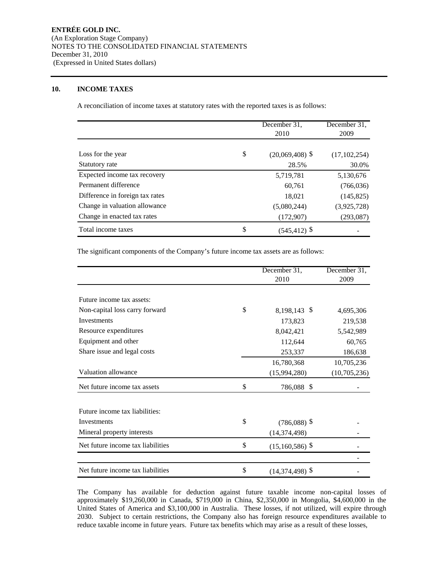#### **10. INCOME TAXES**

A reconciliation of income taxes at statutory rates with the reported taxes is as follows:

|                                 | December 31,<br>2010    | December 31,<br>2009 |
|---------------------------------|-------------------------|----------------------|
|                                 |                         |                      |
| Loss for the year               | \$<br>$(20,069,408)$ \$ | (17, 102, 254)       |
| Statutory rate                  | 28.5%                   | 30.0%                |
| Expected income tax recovery    | 5,719,781               | 5,130,676            |
| Permanent difference            | 60.761                  | (766, 036)           |
| Difference in foreign tax rates | 18,021                  | (145, 825)           |
| Change in valuation allowance   | (5,080,244)             | (3,925,728)          |
| Change in enacted tax rates     | (172,907)               | (293, 087)           |
| Total income taxes              | \$<br>$(545, 412)$ \$   |                      |

The significant components of the Company's future income tax assets are as follows:

|                                   | December 31,            | December 31, |
|-----------------------------------|-------------------------|--------------|
|                                   | 2010                    | 2009         |
|                                   |                         |              |
| Future income tax assets:         |                         |              |
| Non-capital loss carry forward    | \$<br>8,198,143 \$      | 4,695,306    |
| Investments                       | 173,823                 | 219,538      |
| Resource expenditures             | 8,042,421               | 5,542,989    |
| Equipment and other               | 112,644                 | 60,765       |
| Share issue and legal costs       | 253,337                 | 186,638      |
|                                   | 16,780,368              | 10,705,236   |
| Valuation allowance               | (15,994,280)            | (10,705,236) |
| Net future income tax assets      | \$<br>786,088 \$        |              |
| Future income tax liabilities:    |                         |              |
| Investments                       | \$<br>$(786,088)$ \$    |              |
| Mineral property interests        | (14, 374, 498)          |              |
| Net future income tax liabilities | \$<br>$(15,160,586)$ \$ |              |
|                                   |                         |              |
| Net future income tax liabilities | \$<br>$(14,374,498)$ \$ |              |

The Company has available for deduction against future taxable income non-capital losses of approximately \$19,260,000 in Canada, \$719,000 in China, \$2,350,000 in Mongolia, \$4,600,000 in the United States of America and \$3,100,000 in Australia. These losses, if not utilized, will expire through 2030. Subject to certain restrictions, the Company also has foreign resource expenditures available to reduce taxable income in future years. Future tax benefits which may arise as a result of these losses,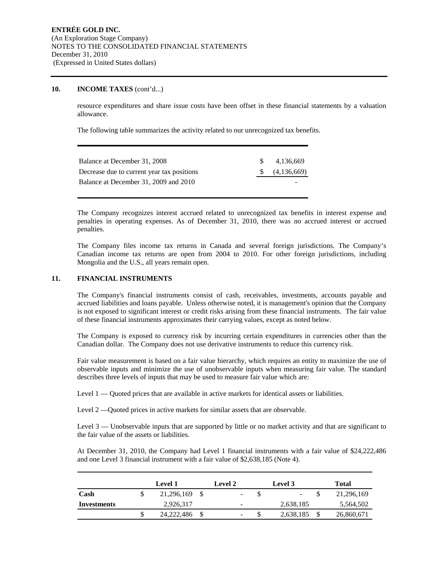#### **10. INCOME TAXES** (cont'd...)

resource expenditures and share issue costs have been offset in these financial statements by a valuation allowance.

The following table summarizes the activity related to our unrecognized tax benefits.

| Balance at December 31, 2008               | -SS | 4.136.669   |
|--------------------------------------------|-----|-------------|
| Decrease due to current year tax positions |     | (4,136,669) |
| Balance at December 31, 2009 and 2010      |     |             |
|                                            |     |             |

The Company recognizes interest accrued related to unrecognized tax benefits in interest expense and penalties in operating expenses. As of December 31, 2010, there was no accrued interest or accrued penalties.

The Company files income tax returns in Canada and several foreign jurisdictions. The Company's Canadian income tax returns are open from 2004 to 2010. For other foreign jurisdictions, including Mongolia and the U.S., all years remain open.

#### **11. FINANCIAL INSTRUMENTS**

The Company's financial instruments consist of cash, receivables, investments, accounts payable and accrued liabilities and loans payable. Unless otherwise noted, it is management's opinion that the Company is not exposed to significant interest or credit risks arising from these financial instruments. The fair value of these financial instruments approximates their carrying values, except as noted below.

The Company is exposed to currency risk by incurring certain expenditures in currencies other than the Canadian dollar. The Company does not use derivative instruments to reduce this currency risk.

Fair value measurement is based on a fair value hierarchy, which requires an entity to maximize the use of observable inputs and minimize the use of unobservable inputs when measuring fair value. The standard describes three levels of inputs that may be used to measure fair value which are:

Level 1 — Quoted prices that are available in active markets for identical assets or liabilities.

Level 2 —Quoted prices in active markets for similar assets that are observable.

Level 3 — Unobservable inputs that are supported by little or no market activity and that are significant to the fair value of the assets or liabilities.

At December 31, 2010, the Company had Level 1 financial instruments with a fair value of \$24,222,486 and one Level 3 financial instrument with a fair value of \$2,638,185 (Note 4).

|             |    | <b>Level 1</b> | <b>Level 2</b>           |    | Level 3   | <b>Total</b> |
|-------------|----|----------------|--------------------------|----|-----------|--------------|
| Cash        | J, | 21,296,169     |                          |    | -         | 21,296,169   |
| Investments |    | 2.926.317      | $\overline{\phantom{a}}$ |    | 2,638,185 | 5,564,502    |
|             | \$ | 24, 222, 486   | $\overline{\phantom{0}}$ | J. | 2,638,185 | 26,860,671   |